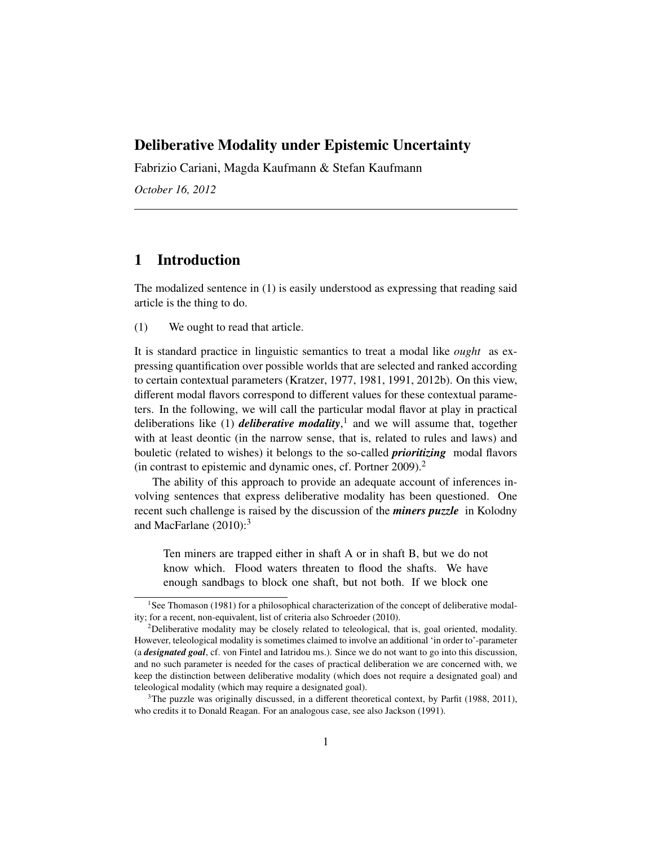# Deliberative Modality under Epistemic Uncertainty

Fabrizio Cariani, Magda Kaufmann & Stefan Kaufmann

*October 16, 2012*

# 1 Introduction

The modalized sentence in (1) is easily understood as expressing that reading said article is the thing to do.

(1) We ought to read that article.

It is standard practice in linguistic semantics to treat a modal like *ought* as expressing quantification over possible worlds that are selected and ranked according to certain contextual parameters (Kratzer, 1977, 1981, 1991, 2012b). On this view, different modal flavors correspond to different values for these contextual parameters. In the following, we will call the particular modal flavor at play in practical deliberations like (1) *deliberative modality*, 1 and we will assume that, together with at least deontic (in the narrow sense, that is, related to rules and laws) and bouletic (related to wishes) it belongs to the so-called *prioritizing* modal flavors (in contrast to epistemic and dynamic ones, cf. Portner  $2009$ ).<sup>2</sup>

The ability of this approach to provide an adequate account of inferences involving sentences that express deliberative modality has been questioned. One recent such challenge is raised by the discussion of the *miners puzzle* in Kolodny and MacFarlane  $(2010)$ :<sup>3</sup>

Ten miners are trapped either in shaft A or in shaft B, but we do not know which. Flood waters threaten to flood the shafts. We have enough sandbags to block one shaft, but not both. If we block one

<sup>&</sup>lt;sup>1</sup>See Thomason (1981) for a philosophical characterization of the concept of deliberative modality; for a recent, non-equivalent, list of criteria also Schroeder (2010).

<sup>&</sup>lt;sup>2</sup>Deliberative modality may be closely related to teleological, that is, goal oriented, modality. However, teleological modality is sometimes claimed to involve an additional 'in order to'-parameter (a *designated goal*, cf. von Fintel and Iatridou ms.). Since we do not want to go into this discussion, and no such parameter is needed for the cases of practical deliberation we are concerned with, we keep the distinction between deliberative modality (which does not require a designated goal) and teleological modality (which may require a designated goal).

 $3$ The puzzle was originally discussed, in a different theoretical context, by Parfit (1988, 2011), who credits it to Donald Reagan. For an analogous case, see also Jackson (1991).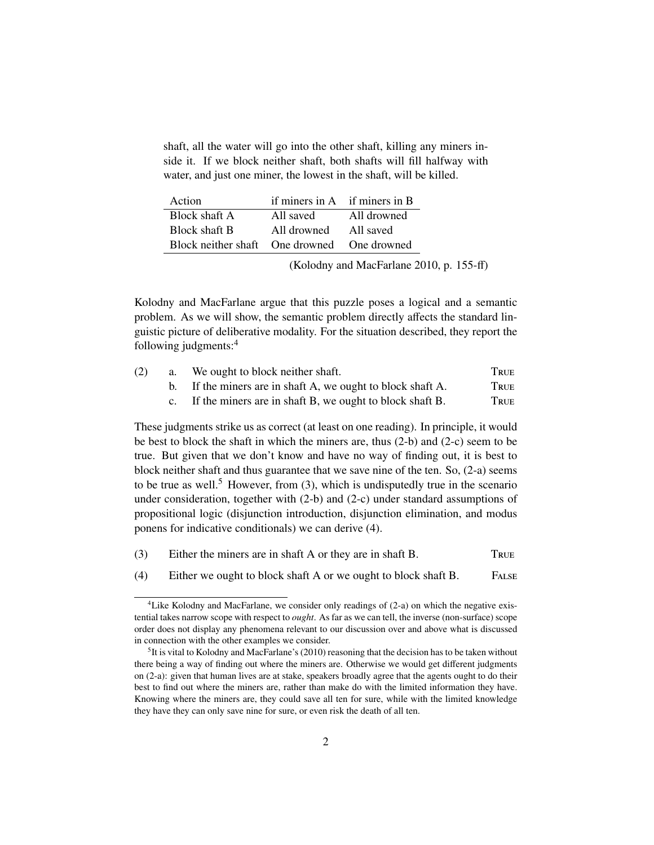shaft, all the water will go into the other shaft, killing any miners inside it. If we block neither shaft, both shafts will fill halfway with water, and just one miner, the lowest in the shaft, will be killed.

| Action                                      | if miners in $A$ if miners in $B$ |             |
|---------------------------------------------|-----------------------------------|-------------|
| Block shaft A                               | All saved                         | All drowned |
| Block shaft B                               | All drowned All saved             |             |
| Block neither shaft One drowned One drowned |                                   |             |
|                                             |                                   |             |

(Kolodny and MacFarlane 2010, p. 155-ff)

Kolodny and MacFarlane argue that this puzzle poses a logical and a semantic problem. As we will show, the semantic problem directly affects the standard linguistic picture of deliberative modality. For the situation described, they report the following judgments:<sup>4</sup>

| (2) | a. | We ought to block neither shaft.                            | True |
|-----|----|-------------------------------------------------------------|------|
|     |    | b. If the miners are in shaft A, we ought to block shaft A. | True |
|     |    | c. If the miners are in shaft B, we ought to block shaft B. | TRUE |

These judgments strike us as correct (at least on one reading). In principle, it would be best to block the shaft in which the miners are, thus  $(2-b)$  and  $(2-c)$  seem to be true. But given that we don't know and have no way of finding out, it is best to block neither shaft and thus guarantee that we save nine of the ten. So, (2-a) seems to be true as well.<sup>5</sup> However, from  $(3)$ , which is undisputedly true in the scenario under consideration, together with (2-b) and (2-c) under standard assumptions of propositional logic (disjunction introduction, disjunction elimination, and modus ponens for indicative conditionals) we can derive (4).

|--|

(4) Either we ought to block shaft A or we ought to block shaft B. False

<sup>4</sup>Like Kolodny and MacFarlane, we consider only readings of (2-a) on which the negative existential takes narrow scope with respect to *ought*. As far as we can tell, the inverse (non-surface) scope order does not display any phenomena relevant to our discussion over and above what is discussed in connection with the other examples we consider.

<sup>&</sup>lt;sup>5</sup>It is vital to Kolodny and MacFarlane's (2010) reasoning that the decision has to be taken without there being a way of finding out where the miners are. Otherwise we would get different judgments on (2-a): given that human lives are at stake, speakers broadly agree that the agents ought to do their best to find out where the miners are, rather than make do with the limited information they have. Knowing where the miners are, they could save all ten for sure, while with the limited knowledge they have they can only save nine for sure, or even risk the death of all ten.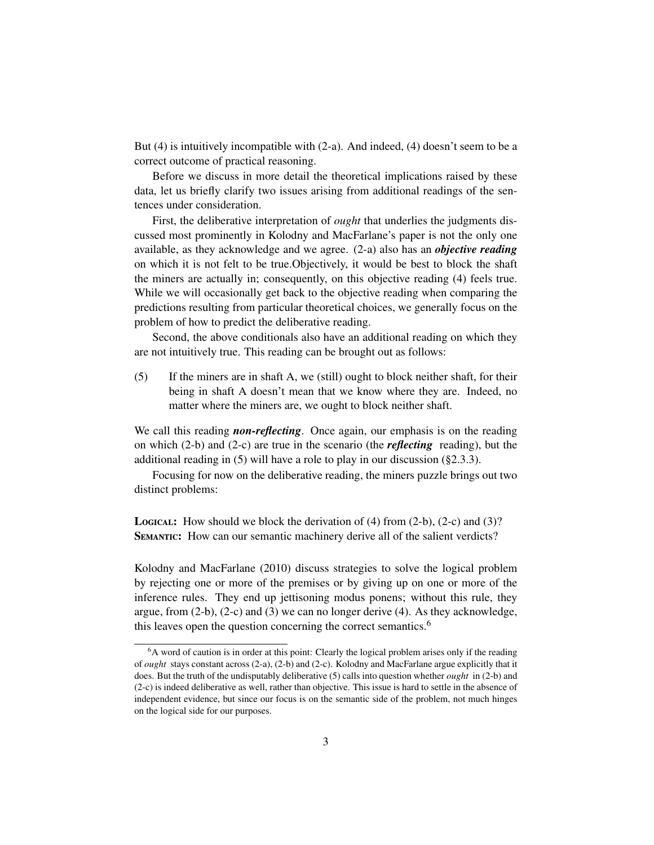But (4) is intuitively incompatible with (2-a). And indeed, (4) doesn't seem to be a correct outcome of practical reasoning.

Before we discuss in more detail the theoretical implications raised by these data, let us briefly clarify two issues arising from additional readings of the sentences under consideration.

First, the deliberative interpretation of *ought* that underlies the judgments discussed most prominently in Kolodny and MacFarlane's paper is not the only one available, as they acknowledge and we agree. (2-a) also has an *objective reading* on which it is not felt to be true.Objectively, it would be best to block the shaft the miners are actually in; consequently, on this objective reading (4) feels true. While we will occasionally get back to the objective reading when comparing the predictions resulting from particular theoretical choices, we generally focus on the problem of how to predict the deliberative reading.

Second, the above conditionals also have an additional reading on which they are not intuitively true. This reading can be brought out as follows:

(5) If the miners are in shaft A, we (still) ought to block neither shaft, for their being in shaft A doesn't mean that we know where they are. Indeed, no matter where the miners are, we ought to block neither shaft.

We call this reading *non-reflecting*. Once again, our emphasis is on the reading on which (2-b) and (2-c) are true in the scenario (the *reflecting* reading), but the additional reading in (5) will have a role to play in our discussion (§2.3.3).

Focusing for now on the deliberative reading, the miners puzzle brings out two distinct problems:

**LOGICAL:** How should we block the derivation of (4) from  $(2-b)$ ,  $(2-c)$  and  $(3)$ ? SEMANTIC: How can our semantic machinery derive all of the salient verdicts?

Kolodny and MacFarlane (2010) discuss strategies to solve the logical problem by rejecting one or more of the premises or by giving up on one or more of the inference rules. They end up jettisoning modus ponens; without this rule, they argue, from  $(2-b)$ ,  $(2-c)$  and  $(3)$  we can no longer derive  $(4)$ . As they acknowledge, this leaves open the question concerning the correct semantics.<sup>6</sup>

<sup>&</sup>lt;sup>6</sup>A word of caution is in order at this point: Clearly the logical problem arises only if the reading of *ought* stays constant across (2-a), (2-b) and (2-c). Kolodny and MacFarlane argue explicitly that it does. But the truth of the undisputably deliberative (5) calls into question whether *ought* in (2-b) and (2-c) is indeed deliberative as well, rather than objective. This issue is hard to settle in the absence of independent evidence, but since our focus is on the semantic side of the problem, not much hinges on the logical side for our purposes.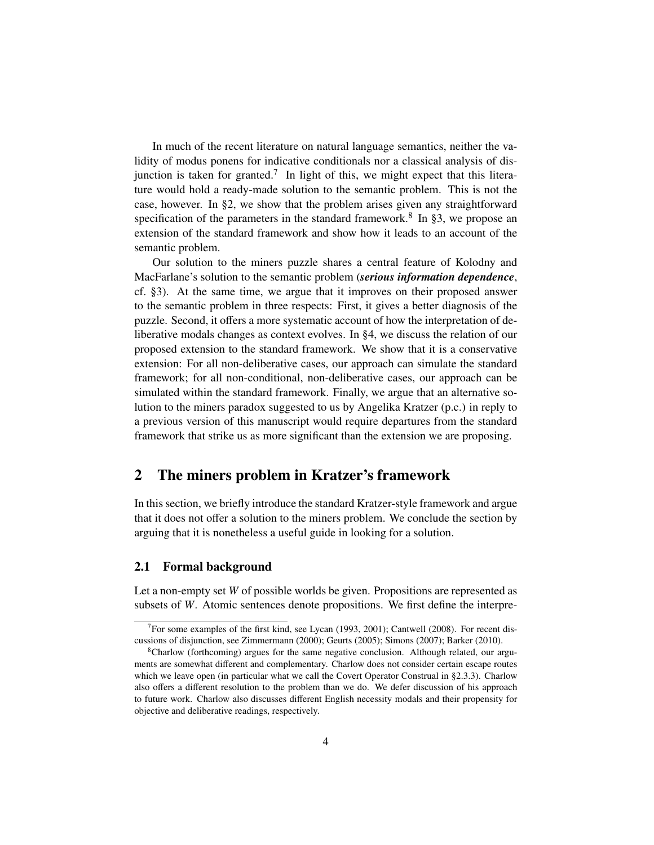In much of the recent literature on natural language semantics, neither the validity of modus ponens for indicative conditionals nor a classical analysis of disjunction is taken for granted.<sup>7</sup> In light of this, we might expect that this literature would hold a ready-made solution to the semantic problem. This is not the case, however. In §2, we show that the problem arises given any straightforward specification of the parameters in the standard framework.<sup>8</sup> In §3, we propose an extension of the standard framework and show how it leads to an account of the semantic problem.

Our solution to the miners puzzle shares a central feature of Kolodny and MacFarlane's solution to the semantic problem (*serious information dependence*, cf. §3). At the same time, we argue that it improves on their proposed answer to the semantic problem in three respects: First, it gives a better diagnosis of the puzzle. Second, it offers a more systematic account of how the interpretation of deliberative modals changes as context evolves. In §4, we discuss the relation of our proposed extension to the standard framework. We show that it is a conservative extension: For all non-deliberative cases, our approach can simulate the standard framework; for all non-conditional, non-deliberative cases, our approach can be simulated within the standard framework. Finally, we argue that an alternative solution to the miners paradox suggested to us by Angelika Kratzer (p.c.) in reply to a previous version of this manuscript would require departures from the standard framework that strike us as more significant than the extension we are proposing.

# 2 The miners problem in Kratzer's framework

In this section, we briefly introduce the standard Kratzer-style framework and argue that it does not offer a solution to the miners problem. We conclude the section by arguing that it is nonetheless a useful guide in looking for a solution.

### 2.1 Formal background

Let a non-empty set *W* of possible worlds be given. Propositions are represented as subsets of *W*. Atomic sentences denote propositions. We first define the interpre-

 $7$ For some examples of the first kind, see Lycan (1993, 2001); Cantwell (2008). For recent discussions of disjunction, see Zimmermann (2000); Geurts (2005); Simons (2007); Barker (2010).

<sup>8</sup>Charlow (forthcoming) argues for the same negative conclusion. Although related, our arguments are somewhat different and complementary. Charlow does not consider certain escape routes which we leave open (in particular what we call the Covert Operator Construal in §2.3.3). Charlow also offers a different resolution to the problem than we do. We defer discussion of his approach to future work. Charlow also discusses different English necessity modals and their propensity for objective and deliberative readings, respectively.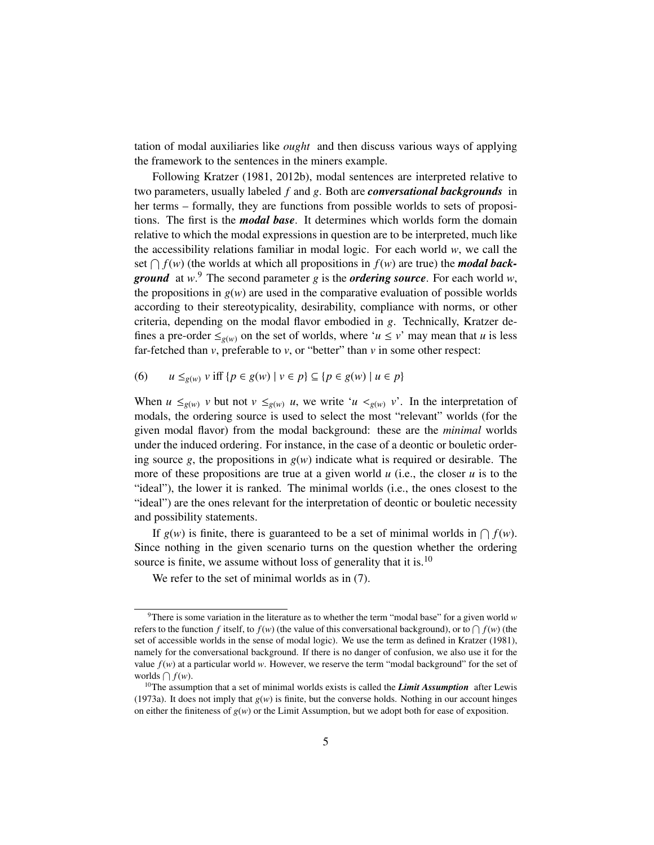tation of modal auxiliaries like *ought* and then discuss various ways of applying the framework to the sentences in the miners example.

Following Kratzer (1981, 2012b), modal sentences are interpreted relative to two parameters, usually labeled *f* and *g*. Both are *conversational backgrounds* in her terms – formally, they are functions from possible worlds to sets of propositions. The first is the *modal base*. It determines which worlds form the domain relative to which the modal expressions in question are to be interpreted, much like the accessibility relations familiar in modal logic. For each world *w*, we call the set  $\bigcap f(w)$  (the worlds at which all propositions in  $f(w)$  are true) the *modal background* at *w*. <sup>9</sup> The second parameter *g* is the *ordering source*. For each world *w*, the propositions in  $g(w)$  are used in the comparative evaluation of possible worlds according to their stereotypicality, desirability, compliance with norms, or other criteria, depending on the modal flavor embodied in *g*. Technically, Kratzer defines a pre-order  $\leq_{g(w)}$  on the set of worlds, where ' $u \leq v$ ' may mean that *u* is less far-fetched than  $v$ , preferable to  $v$ , or "better" than  $v$  in some other respect:

(6)  $u \leq_{g(w)} v$  iff  $\{p \in g(w) \mid v \in p\} \subseteq \{p \in g(w) \mid u \in p\}$ 

When  $u \leq_{g(w)} v$  but not  $v \leq_{g(w)} u$ , we write ' $u \lt_{g(w)} v$ '. In the interpretation of modals, the ordering source is used to select the most "relevant" worlds (for the given modal flavor) from the modal background: these are the *minimal* worlds under the induced ordering. For instance, in the case of a deontic or bouletic ordering source *g*, the propositions in  $g(w)$  indicate what is required or desirable. The more of these propositions are true at a given world *u* (i.e., the closer *u* is to the "ideal"), the lower it is ranked. The minimal worlds (i.e., the ones closest to the "ideal") are the ones relevant for the interpretation of deontic or bouletic necessity and possibility statements.

If  $g(w)$  is finite, there is guaranteed to be a set of minimal worlds in  $\bigcap f(w)$ . Since nothing in the given scenario turns on the question whether the ordering source is finite, we assume without loss of generality that it is.<sup>10</sup>

We refer to the set of minimal worlds as in  $(7)$ .

<sup>&</sup>lt;sup>9</sup>There is some variation in the literature as to whether the term "modal base" for a given world  $w$ refers to the function *f* itself, to  $f(w)$  (the value of this conversational background), or to  $\bigcap f(w)$  (the set of accessible worlds in the sense of modal logic). We use the term as defined in Kratzer (1981), namely for the conversational background. If there is no danger of confusion, we also use it for the value  $f(w)$  at a particular world  $w$ . However, we reserve the term "modal background" for the set of worlds  $\bigcap f(w)$ .

<sup>10</sup>The assumption that a set of minimal worlds exists is called the *Limit Assumption* after Lewis (1973a). It does not imply that  $g(w)$  is finite, but the converse holds. Nothing in our account hinges on either the finiteness of  $g(w)$  or the Limit Assumption, but we adopt both for ease of exposition.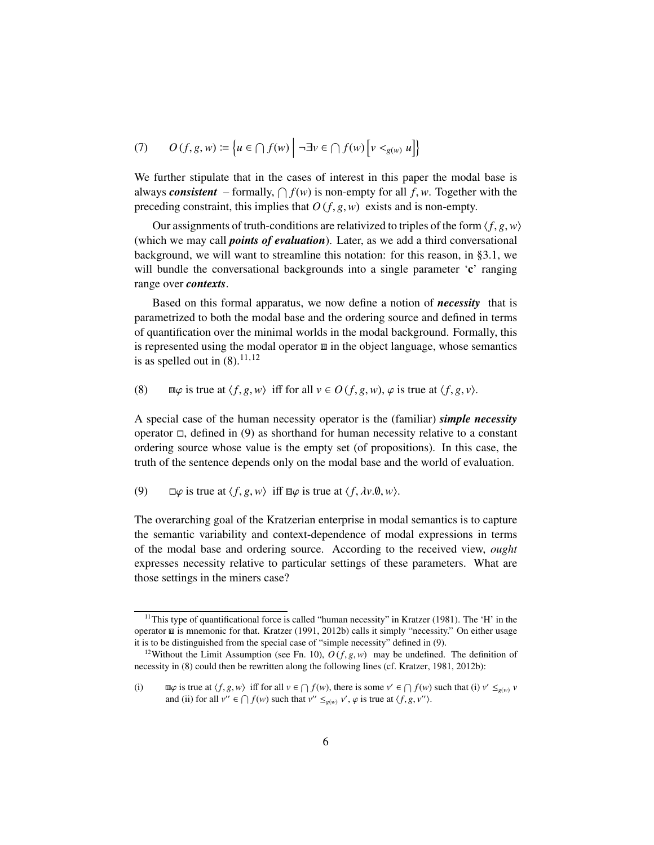(7) 
$$
O(f, g, w) := \left\{ u \in \bigcap f(w) \mid \neg \exists v \in \bigcap f(w) \left[ v <_{g(w)} u \right] \right\}
$$

We further stipulate that in the cases of interest in this paper the modal base is always *consistent* – formally,  $\bigcap f(w)$  is non-empty for all *f*, *w*. Together with the preceding constraint, this implies that  $O(f, g, w)$  exists and is non-empty.

Our assignments of truth-conditions are relativized to triples of the form  $\langle f, g, w \rangle$ (which we may call *points of evaluation*). Later, as we add a third conversational background, we will want to streamline this notation: for this reason, in §3.1, we will bundle the conversational backgrounds into a single parameter 'c' ranging range over *contexts*.

Based on this formal apparatus, we now define a notion of *necessity* that is parametrized to both the modal base and the ordering source and defined in terms of quantification over the minimal worlds in the modal background. Formally, this is represented using the modal operator  $\mathbf{u}$  in the object language, whose semantics is as spelled out in  $(8)$ .<sup>11,12</sup>

(8)  $\Box \varphi$  is true at  $\langle f, g, w \rangle$  iff for all  $v \in O(f, g, w)$ ,  $\varphi$  is true at  $\langle f, g, v \rangle$ .

A special case of the human necessity operator is the (familiar) *simple necessity* operator  $\Box$ , defined in (9) as shorthand for human necessity relative to a constant ordering source whose value is the empty set (of propositions). In this case, the truth of the sentence depends only on the modal base and the world of evaluation.

(9)  $\Box \varphi$  is true at  $\langle f, g, w \rangle$  iff  $\Box \varphi$  is true at  $\langle f, \lambda v. \varnothing, w \rangle$ .

The overarching goal of the Kratzerian enterprise in modal semantics is to capture the semantic variability and context-dependence of modal expressions in terms of the modal base and ordering source. According to the received view, *ought* expresses necessity relative to particular settings of these parameters. What are those settings in the miners case?

<sup>&</sup>lt;sup>11</sup>This type of quantificational force is called "human necessity" in Kratzer (1981). The 'H' in the operator  $\mathbf{E}$  is mnemonic for that. Kratzer (1991, 2012b) calls it simply "necessity." On either usage it is to be distinguished from the special case of "simple necessity" defined in (9).

<sup>&</sup>lt;sup>12</sup>Without the Limit Assumption (see Fn. 10),  $O(f, g, w)$  may be undefined. The definition of necessity in (8) could then be rewritten along the following lines (cf. Kratzer, 1981, 2012b):

<sup>(</sup>i)  $\Box \varphi$  is true at  $\langle f, g, w \rangle$  iff for all  $v \in \bigcap f(w)$ , there is some  $v' \in \bigcap f(w)$  such that (i)  $v' \leq_{g(w)} v$ <br>and (ii) for all  $v'' \in \bigcap f(w)$  such that  $v'' \leq_{g(w)} v'$  (e.g. *v'* on strue at  $\langle f, g, v'' \rangle$ and (ii) for all  $v'' \in \bigcap f(w)$  such that  $v'' \leq_{g(w)} v'$ ,  $\varphi$  is true at  $\langle f, g, v'' \rangle$ .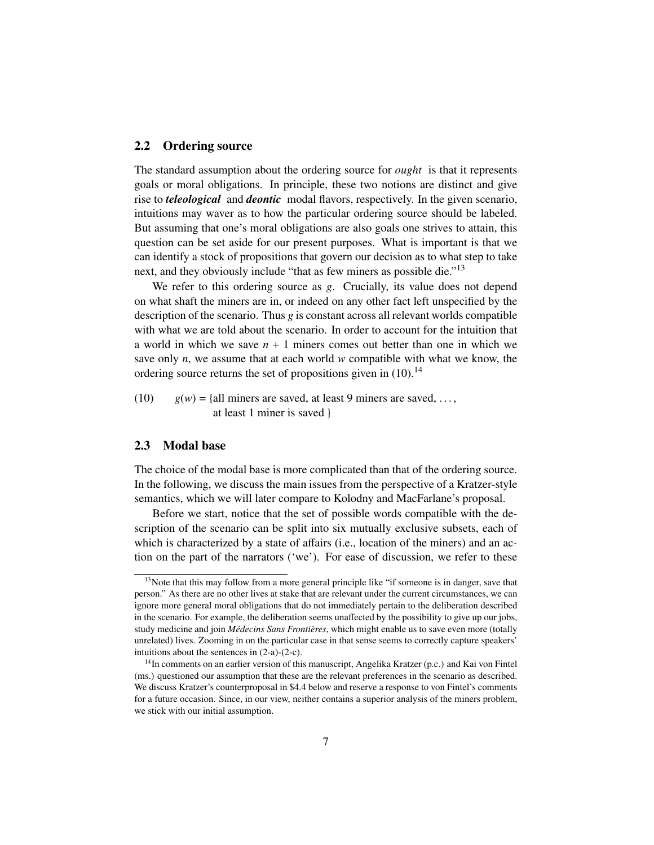#### 2.2 Ordering source

The standard assumption about the ordering source for *ought* is that it represents goals or moral obligations. In principle, these two notions are distinct and give rise to *teleological* and *deontic* modal flavors, respectively. In the given scenario, intuitions may waver as to how the particular ordering source should be labeled. But assuming that one's moral obligations are also goals one strives to attain, this question can be set aside for our present purposes. What is important is that we can identify a stock of propositions that govern our decision as to what step to take next, and they obviously include "that as few miners as possible die."<sup>13</sup>

We refer to this ordering source as *g*. Crucially, its value does not depend on what shaft the miners are in, or indeed on any other fact left unspecified by the description of the scenario. Thus *g* is constant across all relevant worlds compatible with what we are told about the scenario. In order to account for the intuition that a world in which we save *n* + 1 miners comes out better than one in which we save only *n*, we assume that at each world *w* compatible with what we know, the ordering source returns the set of propositions given in  $(10)$ .<sup>14</sup>

(10)  $g(w) = \{all \text{ miners are saved, at least 9 miners are saved, ...,} \}$ at least 1 miner is saved }

### 2.3 Modal base

The choice of the modal base is more complicated than that of the ordering source. In the following, we discuss the main issues from the perspective of a Kratzer-style semantics, which we will later compare to Kolodny and MacFarlane's proposal.

Before we start, notice that the set of possible words compatible with the description of the scenario can be split into six mutually exclusive subsets, each of which is characterized by a state of affairs (i.e., location of the miners) and an action on the part of the narrators ('we'). For ease of discussion, we refer to these

<sup>&</sup>lt;sup>13</sup>Note that this may follow from a more general principle like "if someone is in danger, save that person." As there are no other lives at stake that are relevant under the current circumstances, we can ignore more general moral obligations that do not immediately pertain to the deliberation described in the scenario. For example, the deliberation seems unaffected by the possibility to give up our jobs, study medicine and join *Médecins Sans Frontières*, which might enable us to save even more (totally unrelated) lives. Zooming in on the particular case in that sense seems to correctly capture speakers' intuitions about the sentences in (2-a)-(2-c).

<sup>&</sup>lt;sup>14</sup>In comments on an earlier version of this manuscript, Angelika Kratzer (p.c.) and Kai von Fintel (ms.) questioned our assumption that these are the relevant preferences in the scenario as described. We discuss Kratzer's counterproposal in \$4.4 below and reserve a response to von Fintel's comments for a future occasion. Since, in our view, neither contains a superior analysis of the miners problem, we stick with our initial assumption.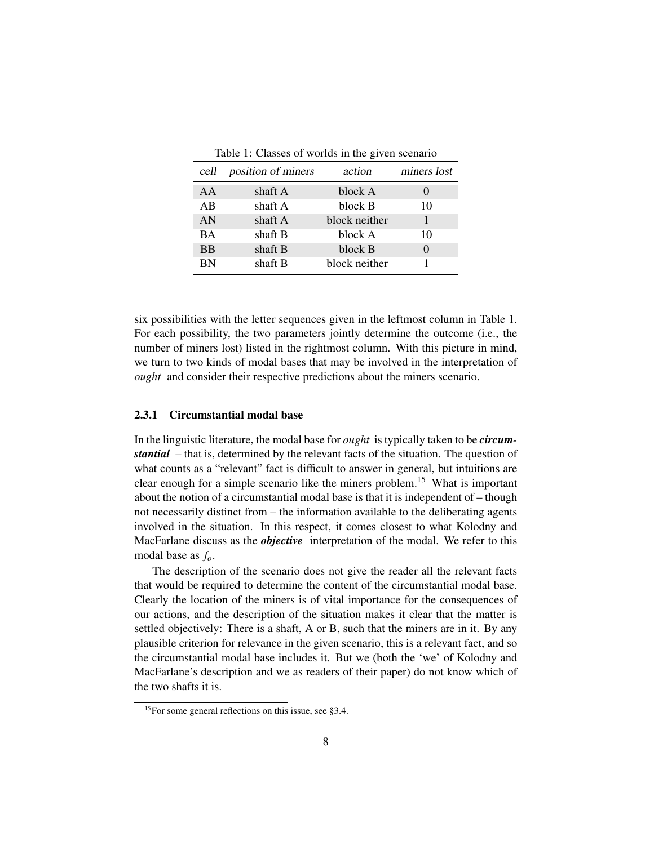| cell      | position of miners | action        | miners lost |
|-----------|--------------------|---------------|-------------|
| AA        | shaft A            | block A       |             |
| AB        | shaft A            | block B       | 10          |
| AN        | shaft A            | block neither |             |
| <b>BA</b> | shaft B            | block A       | 10          |
| <b>BB</b> | shaft B            | block B       |             |
| BN        | shaft B            | block neither |             |

Table 1: Classes of worlds in the given scenario

six possibilities with the letter sequences given in the leftmost column in Table 1. For each possibility, the two parameters jointly determine the outcome (i.e., the number of miners lost) listed in the rightmost column. With this picture in mind, we turn to two kinds of modal bases that may be involved in the interpretation of *ought* and consider their respective predictions about the miners scenario.

## 2.3.1 Circumstantial modal base

In the linguistic literature, the modal base for *ought* is typically taken to be *circumstantial* – that is, determined by the relevant facts of the situation. The question of what counts as a "relevant" fact is difficult to answer in general, but intuitions are clear enough for a simple scenario like the miners problem.<sup>15</sup> What is important about the notion of a circumstantial modal base is that it is independent of – though not necessarily distinct from – the information available to the deliberating agents involved in the situation. In this respect, it comes closest to what Kolodny and MacFarlane discuss as the *objective* interpretation of the modal. We refer to this modal base as *fo*.

The description of the scenario does not give the reader all the relevant facts that would be required to determine the content of the circumstantial modal base. Clearly the location of the miners is of vital importance for the consequences of our actions, and the description of the situation makes it clear that the matter is settled objectively: There is a shaft, A or B, such that the miners are in it. By any plausible criterion for relevance in the given scenario, this is a relevant fact, and so the circumstantial modal base includes it. But we (both the 'we' of Kolodny and MacFarlane's description and we as readers of their paper) do not know which of the two shafts it is.

<sup>15</sup>For some general reflections on this issue, see §3.4.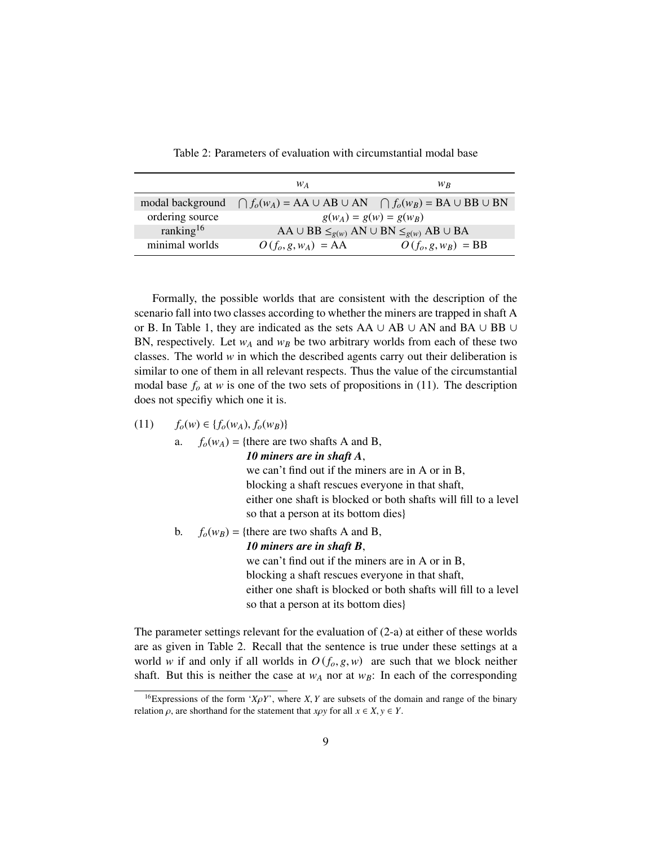|                       | W A                                                                                            | W <sub>R</sub>        |
|-----------------------|------------------------------------------------------------------------------------------------|-----------------------|
|                       | modal background $\bigcap f_o(w_A) = AA \cup AB \cup AN \bigcap f_o(w_B) = BA \cup BB \cup BN$ |                       |
| ordering source       | $g(w_A) = g(w) = g(w_B)$                                                                       |                       |
| ranking <sup>16</sup> | AA $\cup$ BB $\leq_{g(w)}$ AN $\cup$ BN $\leq_{g(w)}$ AB $\cup$ BA                             |                       |
| minimal worlds        | $O(f_o, g, w_A) = AA$                                                                          | $O(f_o, g, w_B) = BB$ |

Table 2: Parameters of evaluation with circumstantial modal base

Formally, the possible worlds that are consistent with the description of the scenario fall into two classes according to whether the miners are trapped in shaft A or B. In Table 1, they are indicated as the sets AA ∪ AB ∪ AN and BA ∪ BB ∪ BN, respectively. Let  $w_A$  and  $w_B$  be two arbitrary worlds from each of these two classes. The world  $w$  in which the described agents carry out their deliberation is similar to one of them in all relevant respects. Thus the value of the circumstantial modal base  $f<sub>o</sub>$  at *w* is one of the two sets of propositions in (11). The description does not specifiy which one it is.

(11) 
$$
f_o(w) \in \{f_o(w_A), f_o(w_B)\}\
$$

a.  $f_o(w_A) = \{$ there are two shafts A and B,

### *10 miners are in shaft A*,

we can't find out if the miners are in A or in B, blocking a shaft rescues everyone in that shaft, either one shaft is blocked or both shafts will fill to a level so that a person at its bottom dies}

b.  $f_o(w_B) = \{$ there are two shafts A and B,

## *10 miners are in shaft B*,

we can't find out if the miners are in A or in B, blocking a shaft rescues everyone in that shaft, either one shaft is blocked or both shafts will fill to a level so that a person at its bottom dies}

The parameter settings relevant for the evaluation of (2-a) at either of these worlds are as given in Table 2. Recall that the sentence is true under these settings at a world *w* if and only if all worlds in  $O(f_0, g, w)$  are such that we block neither shaft. But this is neither the case at  $w_A$  nor at  $w_B$ : In each of the corresponding

<sup>&</sup>lt;sup>16</sup>Expressions of the form ' $X\rho Y$ ', where *X*, *Y* are subsets of the domain and range of the binary relation  $\rho$ , are shorthand for the statement that *xρy* for all  $x \in X, y \in Y$ .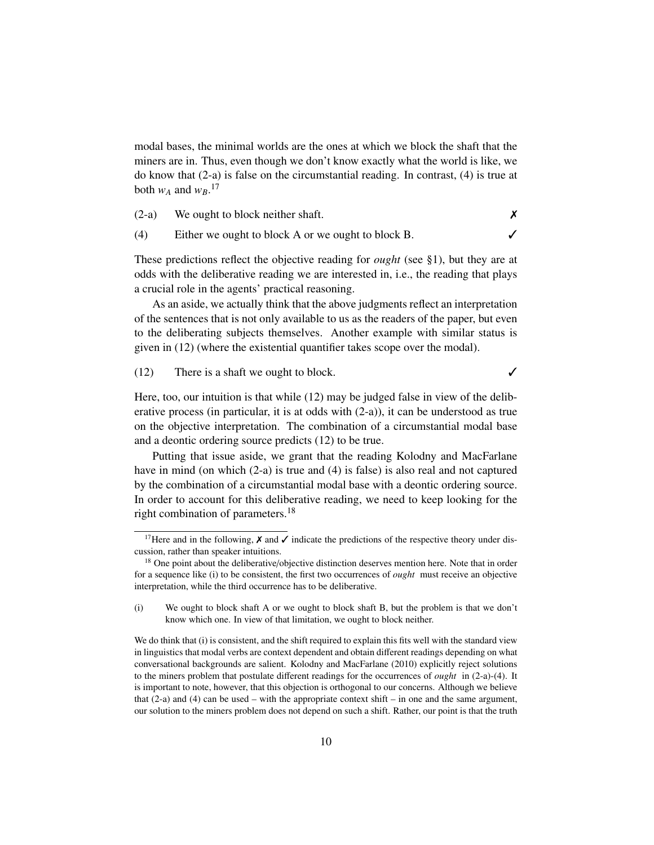modal bases, the minimal worlds are the ones at which we block the shaft that the miners are in. Thus, even though we don't know exactly what the world is like, we do know that (2-a) is false on the circumstantial reading. In contrast, (4) is true at both  $w_A$  and  $w_B$ .<sup>17</sup>

| $(2-a)$ | We ought to block neither shaft.                   |  |
|---------|----------------------------------------------------|--|
| (4)     | Either we ought to block A or we ought to block B. |  |

These predictions reflect the objective reading for *ought* (see §1), but they are at odds with the deliberative reading we are interested in, i.e., the reading that plays a crucial role in the agents' practical reasoning.

As an aside, we actually think that the above judgments reflect an interpretation of the sentences that is not only available to us as the readers of the paper, but even to the deliberating subjects themselves. Another example with similar status is given in (12) (where the existential quantifier takes scope over the modal).

### (12) There is a shaft we ought to block.  $\checkmark$

Here, too, our intuition is that while (12) may be judged false in view of the deliberative process (in particular, it is at odds with (2-a)), it can be understood as true on the objective interpretation. The combination of a circumstantial modal base and a deontic ordering source predicts (12) to be true.

Putting that issue aside, we grant that the reading Kolodny and MacFarlane have in mind (on which (2-a) is true and (4) is false) is also real and not captured by the combination of a circumstantial modal base with a deontic ordering source. In order to account for this deliberative reading, we need to keep looking for the right combination of parameters.<sup>18</sup>

<sup>&</sup>lt;sup>17</sup>Here and in the following,  $\chi$  and  $\chi$  indicate the predictions of the respective theory under discussion, rather than speaker intuitions.

<sup>&</sup>lt;sup>18</sup> One point about the deliberative/objective distinction deserves mention here. Note that in order for a sequence like (i) to be consistent, the first two occurrences of *ought* must receive an objective interpretation, while the third occurrence has to be deliberative.

<sup>(</sup>i) We ought to block shaft A or we ought to block shaft B, but the problem is that we don't know which one. In view of that limitation, we ought to block neither.

We do think that (i) is consistent, and the shift required to explain this fits well with the standard view in linguistics that modal verbs are context dependent and obtain different readings depending on what conversational backgrounds are salient. Kolodny and MacFarlane (2010) explicitly reject solutions to the miners problem that postulate different readings for the occurrences of *ought* in (2-a)-(4). It is important to note, however, that this objection is orthogonal to our concerns. Although we believe that  $(2-a)$  and  $(4)$  can be used – with the appropriate context shift – in one and the same argument, our solution to the miners problem does not depend on such a shift. Rather, our point is that the truth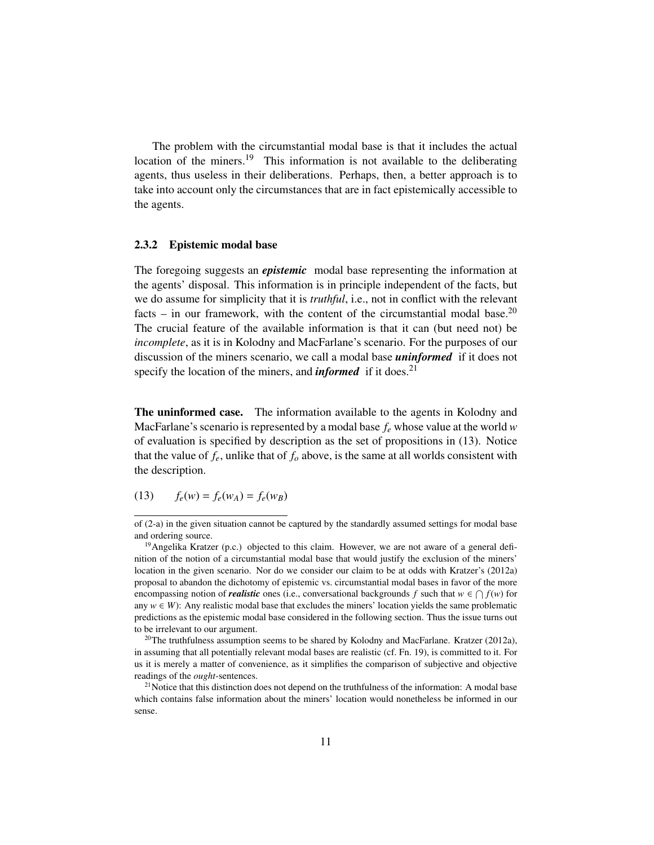The problem with the circumstantial modal base is that it includes the actual location of the miners.<sup>19</sup> This information is not available to the deliberating agents, thus useless in their deliberations. Perhaps, then, a better approach is to take into account only the circumstances that are in fact epistemically accessible to the agents.

#### 2.3.2 Epistemic modal base

The foregoing suggests an *epistemic* modal base representing the information at the agents' disposal. This information is in principle independent of the facts, but we do assume for simplicity that it is *truthful*, i.e., not in conflict with the relevant facts – in our framework, with the content of the circumstantial modal base.<sup>20</sup> The crucial feature of the available information is that it can (but need not) be *incomplete*, as it is in Kolodny and MacFarlane's scenario. For the purposes of our discussion of the miners scenario, we call a modal base *uninformed* if it does not specify the location of the miners, and *informed* if it does.<sup>21</sup>

**The uninformed case.** The information available to the agents in Kolodny and MacFarlane's scenario is represented by a modal base *f<sup>e</sup>* whose value at the world *w* of evaluation is specified by description as the set of propositions in (13). Notice that the value of  $f_e$ , unlike that of  $f_o$  above, is the same at all worlds consistent with the description.

(13) 
$$
f_e(w) = f_e(w_A) = f_e(w_B)
$$

of (2-a) in the given situation cannot be captured by the standardly assumed settings for modal base and ordering source.

<sup>&</sup>lt;sup>19</sup> Angelika Kratzer (p.c.) objected to this claim. However, we are not aware of a general definition of the notion of a circumstantial modal base that would justify the exclusion of the miners' location in the given scenario. Nor do we consider our claim to be at odds with Kratzer's (2012a) proposal to abandon the dichotomy of epistemic vs. circumstantial modal bases in favor of the more encompassing notion of *realistic* ones (i.e., conversational backgrounds *f* such that  $w \in \bigcap f(w)$  for any  $w \in W$ ): Any realistic modal base that excludes the miners' location yields the same problematic predictions as the epistemic modal base considered in the following section. Thus the issue turns out to be irrelevant to our argument.

 $20$ The truthfulness assumption seems to be shared by Kolodny and MacFarlane. Kratzer (2012a), in assuming that all potentially relevant modal bases are realistic (cf. Fn. 19), is committed to it. For us it is merely a matter of convenience, as it simplifies the comparison of subjective and objective readings of the *ought*-sentences.

 $2<sup>1</sup>$  Notice that this distinction does not depend on the truthfulness of the information: A modal base which contains false information about the miners' location would nonetheless be informed in our sense.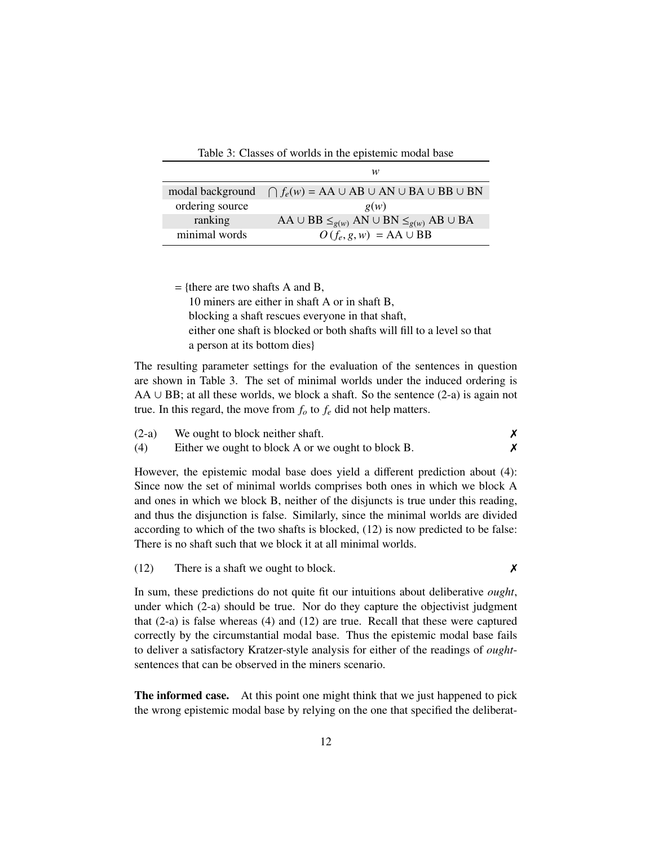| Table 3: Classes of worlds in the epistemic modal base |  |
|--------------------------------------------------------|--|
|                                                        |  |
|                                                        |  |

| modal background | $\bigcap f_e(w) = AA \cup AB \cup AN \cup BA \cup BB \cup BN$      |
|------------------|--------------------------------------------------------------------|
| ordering source  | g(w)                                                               |
| ranking          | AA $\cup$ BB $\leq_{g(w)}$ AN $\cup$ BN $\leq_{g(w)}$ AB $\cup$ BA |
| minimal words    | $O(f_e, g, w) = AA \cup BB$                                        |
|                  |                                                                    |

 $=$  {there are two shafts A and B, 10 miners are either in shaft A or in shaft B, blocking a shaft rescues everyone in that shaft, either one shaft is blocked or both shafts will fill to a level so that a person at its bottom dies}

The resulting parameter settings for the evaluation of the sentences in question are shown in Table 3. The set of minimal worlds under the induced ordering is AA ∪ BB; at all these worlds, we block a shaft. So the sentence  $(2-a)$  is again not true. In this regard, the move from  $f<sub>o</sub>$  to  $f<sub>e</sub>$  did not help matters.

| $(2-a)$ | We ought to block neither shaft.                   |  |
|---------|----------------------------------------------------|--|
| (4)     | Either we ought to block A or we ought to block B. |  |

However, the epistemic modal base does yield a different prediction about (4): Since now the set of minimal worlds comprises both ones in which we block A and ones in which we block B, neither of the disjuncts is true under this reading, and thus the disjunction is false. Similarly, since the minimal worlds are divided according to which of the two shafts is blocked, (12) is now predicted to be false: There is no shaft such that we block it at all minimal worlds.

(12) There is a shaft we ought to block.  $\times$ 

In sum, these predictions do not quite fit our intuitions about deliberative *ought*, under which (2-a) should be true. Nor do they capture the objectivist judgment that (2-a) is false whereas (4) and (12) are true. Recall that these were captured correctly by the circumstantial modal base. Thus the epistemic modal base fails to deliver a satisfactory Kratzer-style analysis for either of the readings of *ought*sentences that can be observed in the miners scenario.

**The informed case.** At this point one might think that we just happened to pick the wrong epistemic modal base by relying on the one that specified the deliberat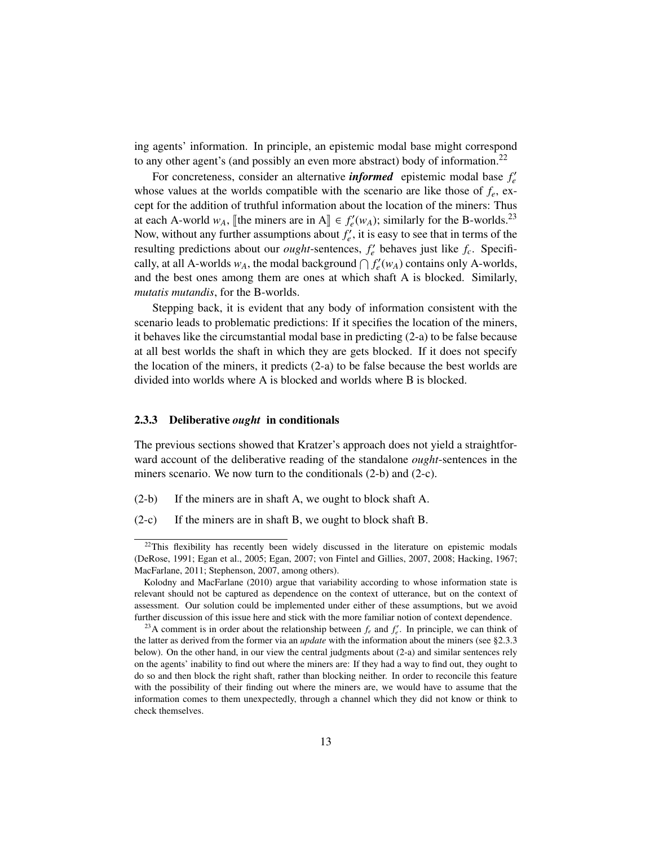ing agents' information. In principle, an epistemic modal base might correspond to any other agent's (and possibly an even more abstract) body of information.<sup>22</sup>

For concreteness, consider an alternative *informed* epistemic modal base  $f'_e$ whose values at the worlds compatible with the scenario are like those of *fe*, except for the addition of truthful information about the location of the miners: Thus at each A-world  $w_A$ , [the miners are in  $A$ ]  $\in f'_e(w_A)$ ; similarly for the B-worlds.<sup>23</sup><br>Now without any further assumptions about  $f'_e$  it is again to see that in terms of the Now, without any further assumptions about  $f'_e$ , it is easy to see that in terms of the resulting predictions about our *ought*-sentences,  $f'_e$  behaves just like  $f_c$ . Specifically, at all A-worlds  $w_A$ , the modal background  $\bigcap f'_e(w_A)$  contains only A-worlds, and the best ones among them are ones at which shaft A is blocked. Similarly, *mutatis mutandis*, for the B-worlds.

Stepping back, it is evident that any body of information consistent with the scenario leads to problematic predictions: If it specifies the location of the miners, it behaves like the circumstantial modal base in predicting (2-a) to be false because at all best worlds the shaft in which they are gets blocked. If it does not specify the location of the miners, it predicts (2-a) to be false because the best worlds are divided into worlds where A is blocked and worlds where B is blocked.

#### 2.3.3 Deliberative *ought* in conditionals

The previous sections showed that Kratzer's approach does not yield a straightforward account of the deliberative reading of the standalone *ought*-sentences in the miners scenario. We now turn to the conditionals (2-b) and (2-c).

- (2-b) If the miners are in shaft A, we ought to block shaft A.
- (2-c) If the miners are in shaft B, we ought to block shaft B.

<sup>&</sup>lt;sup>22</sup>This flexibility has recently been widely discussed in the literature on epistemic modals (DeRose, 1991; Egan et al., 2005; Egan, 2007; von Fintel and Gillies, 2007, 2008; Hacking, 1967; MacFarlane, 2011; Stephenson, 2007, among others).

Kolodny and MacFarlane (2010) argue that variability according to whose information state is relevant should not be captured as dependence on the context of utterance, but on the context of assessment. Our solution could be implemented under either of these assumptions, but we avoid further discussion of this issue here and stick with the more familiar notion of context dependence.

<sup>&</sup>lt;sup>23</sup>A comment is in order about the relationship between  $f_e$  and  $f'_e$ . In principle, we can think of the latter as derived from the former via an *update* with the information about the miners (see §2.3.3 below). On the other hand, in our view the central judgments about (2-a) and similar sentences rely on the agents' inability to find out where the miners are: If they had a way to find out, they ought to do so and then block the right shaft, rather than blocking neither. In order to reconcile this feature with the possibility of their finding out where the miners are, we would have to assume that the information comes to them unexpectedly, through a channel which they did not know or think to check themselves.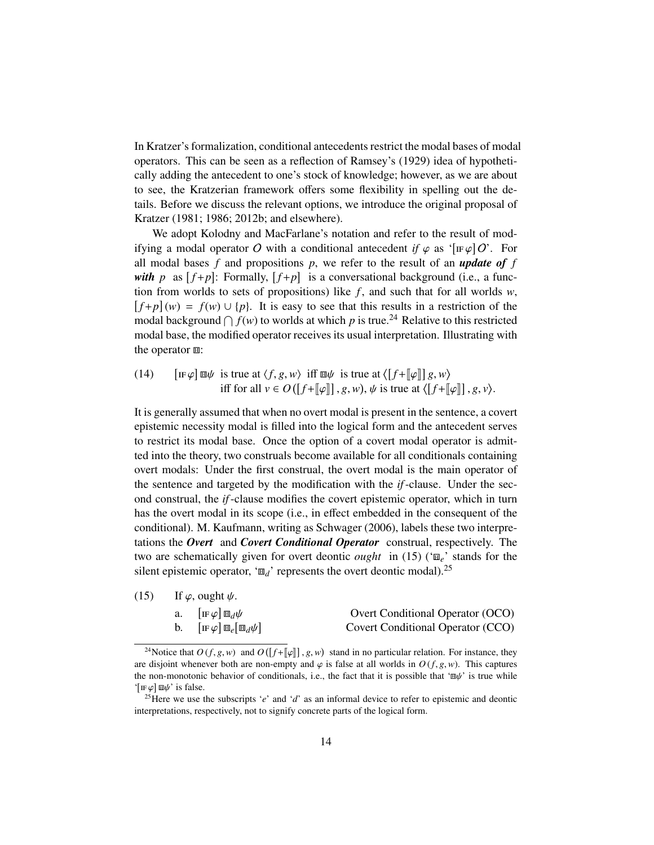In Kratzer's formalization, conditional antecedents restrict the modal bases of modal operators. This can be seen as a reflection of Ramsey's (1929) idea of hypothetically adding the antecedent to one's stock of knowledge; however, as we are about to see, the Kratzerian framework offers some flexibility in spelling out the details. Before we discuss the relevant options, we introduce the original proposal of Kratzer (1981; 1986; 2012b; and elsewhere).

We adopt Kolodny and MacFarlane's notation and refer to the result of modifying a modal operator O with a conditional antecedent *if*  $\varphi$  as ' $[\text{IF }\varphi]$ O'. For all modal bases *f* and propositions *p*, we refer to the result of an *update of f with p* as  $[f+p]$ : Formally,  $[f+p]$  is a conversational background (i.e., a function from worlds to sets of propositions) like  $f$ , and such that for all worlds  $w$ ,  $[f+p](w) = f(w) \cup \{p\}$ . It is easy to see that this results in a restriction of the modal background  $\bigcap f(w)$  to worlds at which p is true.<sup>24</sup> Relative to this restricted modal base, the modified operator receives its usual interpretation. Illustrating with the operator  $\mathbf{m}$ :

 $(14)$  $\pi \varphi$   $\exists \psi$  is true at  $\langle f, g, w \rangle$  iff  $\exists \psi$  is true at  $\langle [f + [\![\varphi]\!] \rangle g, w \rangle$ <br>*iff for all*  $y \in O([f + [\![\varphi]\!]])$  *a wide is true at*  $/[f + [\![\varphi]\!]])$ iff for all  $v \in O([f+[\![\varphi]\!]], g, w)$ ,  $\psi$  is true at  $\langle [f+[\![\varphi]\!]], g, v \rangle$ .

It is generally assumed that when no overt modal is present in the sentence, a covert epistemic necessity modal is filled into the logical form and the antecedent serves to restrict its modal base. Once the option of a covert modal operator is admitted into the theory, two construals become available for all conditionals containing overt modals: Under the first construal, the overt modal is the main operator of the sentence and targeted by the modification with the *if*-clause. Under the second construal, the *if*-clause modifies the covert epistemic operator, which in turn has the overt modal in its scope (i.e., in effect embedded in the consequent of the conditional). M. Kaufmann, writing as Schwager (2006), labels these two interpretations the *Overt* and *Covert Conditional Operator* construal, respectively. The two are schematically given for overt deontic *ought* in (15) ( $\mathbb{E}_e$ <sup>'</sup> stands for the silent epistemic operator, ' $\mathbb{H}_d$ ' represents the overt deontic modal).<sup>25</sup>

(15) If  $\varphi$ , ought  $\psi$ .

| a. $[\text{IF }\varphi] \boxplus_d \psi$              | Overt Conditional Operator (OCO)  |
|-------------------------------------------------------|-----------------------------------|
| b. $[\text{IF}\varphi]\mathbb{E}_e[\mathbb{E}_d\psi]$ | Covert Conditional Operator (CCO) |

<sup>&</sup>lt;sup>24</sup>Notice that  $O(f, g, w)$  and  $O([f + [\varphi]], g, w)$  stand in no particular relation. For instance, they disjoint whenever both are non-empty and  $\varphi$  is false at all worlds in  $O(f, g, w)$ . This captures are disjoint whenever both are non-empty and  $\varphi$  is false at all worlds in  $O(f, g, w)$ . This captures the non-monotonic behavior of conditionals, i.e., the fact that it is possible that ' $\mathbb{E} \psi$ ' is true while ' $[\text{IF }\varphi] \square \psi'$  is false.<br><sup>25</sup>Here we use t

<sup>25</sup>Here we use the subscripts '*e*' and '*d*' as an informal device to refer to epistemic and deontic interpretations, respectively, not to signify concrete parts of the logical form.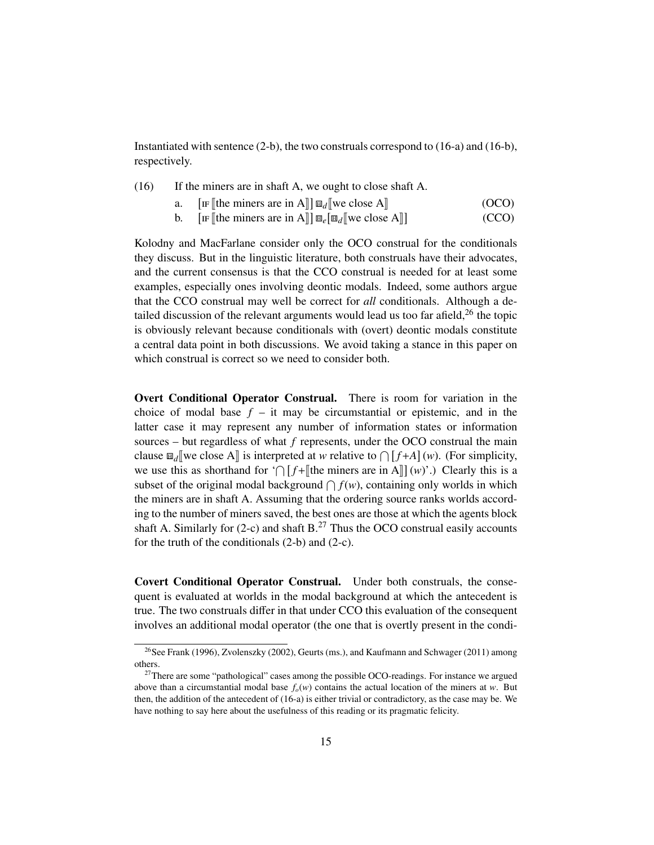Instantiated with sentence (2-b), the two construals correspond to (16-a) and (16-b), respectively.

(16) If the miners are in shaft A, we ought to close shaft A.

| a. [IF the miners are in A $\ \mathbb{E}_d\ $ we close A $\ $                                                  | (OCO) |
|----------------------------------------------------------------------------------------------------------------|-------|
| b. $[\text{IF} \parallel \text{the miners are in A}]] \mathbb{E}_e[\mathbb{E}_d \parallel \text{we close A}]]$ | (CCO) |

Kolodny and MacFarlane consider only the OCO construal for the conditionals they discuss. But in the linguistic literature, both construals have their advocates, and the current consensus is that the CCO construal is needed for at least some examples, especially ones involving deontic modals. Indeed, some authors argue that the CCO construal may well be correct for *all* conditionals. Although a detailed discussion of the relevant arguments would lead us too far afield, $^{26}$  the topic is obviously relevant because conditionals with (overt) deontic modals constitute a central data point in both discussions. We avoid taking a stance in this paper on which construal is correct so we need to consider both.

Overt Conditional Operator Construal. There is room for variation in the choice of modal base  $f - it$  may be circumstantial or epistemic, and in the latter case it may represent any number of information states or information sources  $-$  but regardless of what  $f$  represents, under the OCO construal the main clause  $\mathbb{E}_d$  we close A<sup>n</sup> is interpreted at *w* relative to  $\bigcap [f+A](w)$ . (For simplicity, we use this as shorthand for ' $\bigcap [f + \mathbb{I}]$ the miners are in A $\mathbb{I}$  $\big](w)$ '.) Clearly this is a subset of the original model beckground  $\bigcirc$   $f(w)$  containing only worlds in which subset of the original modal background  $\bigcap f(w)$ , containing only worlds in which the miners are in shaft A. Assuming that the ordering source ranks worlds according to the number of miners saved, the best ones are those at which the agents block shaft A. Similarly for  $(2-c)$  and shaft B.<sup>27</sup> Thus the OCO construal easily accounts for the truth of the conditionals (2-b) and (2-c).

Covert Conditional Operator Construal. Under both construals, the consequent is evaluated at worlds in the modal background at which the antecedent is true. The two construals differ in that under CCO this evaluation of the consequent involves an additional modal operator (the one that is overtly present in the condi-

<sup>26</sup>See Frank (1996), Zvolenszky (2002), Geurts (ms.), and Kaufmann and Schwager (2011) among others.

<sup>&</sup>lt;sup>27</sup>There are some "pathological" cases among the possible OCO-readings. For instance we argued above than a circumstantial modal base  $f<sub>o</sub>(w)$  contains the actual location of the miners at *w*. But then, the addition of the antecedent of (16-a) is either trivial or contradictory, as the case may be. We have nothing to say here about the usefulness of this reading or its pragmatic felicity.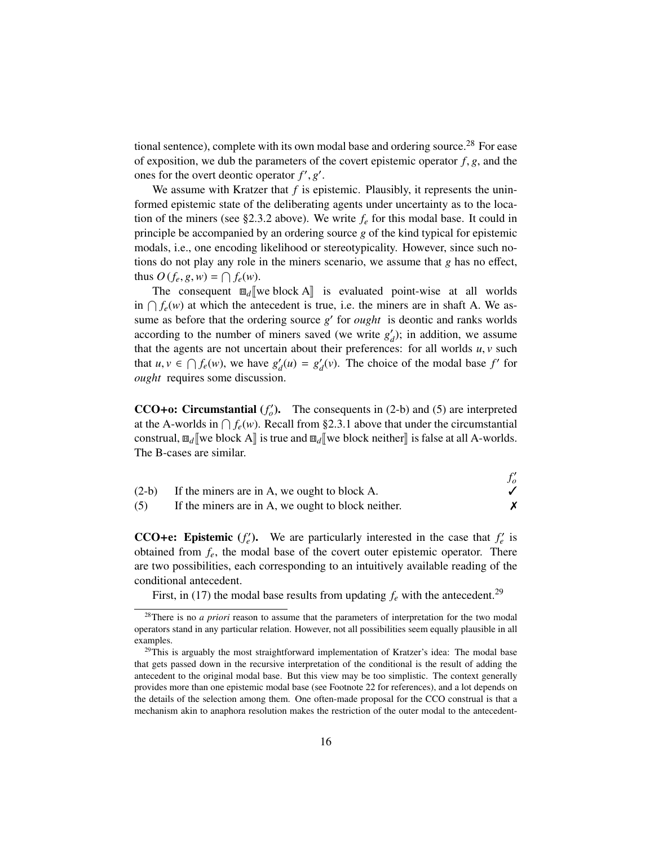tional sentence), complete with its own modal base and ordering source.<sup>28</sup> For ease of exposition, we dub the parameters of the covert epistemic operator *<sup>f</sup>*, *<sup>g</sup>*, and the ones for the overt deontic operator  $f', g'$ .<br>We assume with Kratzer that f is an

We assume with Kratzer that *f* is epistemic. Plausibly, it represents the uninformed epistemic state of the deliberating agents under uncertainty as to the location of the miners (see §2.3.2 above). We write  $f_e$  for this modal base. It could in principle be accompanied by an ordering source *g* of the kind typical for epistemic modals, i.e., one encoding likelihood or stereotypicality. However, since such notions do not play any role in the miners scenario, we assume that *g* has no effect, thus  $O(f_e, g, w) = \bigcap f_e(w)$ .<br>The consequent  $\mathbb{F}^{\downarrow}$ 

The consequent  $\mathbb{E}_d$  we block A is evaluated point-wise at all worlds in  $\bigcap f_e(w)$  at which the antecedent is true, i.e. the miners are in shaft A. We assume as before that the ordering source  $g'$  for *ought* is deontic and ranks worlds according to the number of miners saved (we write  $g'$ )  $d$ ; in addition, we assume that the agents are not uncertain about their preferences: for all worlds  $u, v$  such that  $u, v \in \bigcap f_e(w)$ , we have  $g'_a$ <br>*ought* requires some discussion  $d_d(u) = g'_d$  $d$ <sup> $d$ </sup>(*v*). The choice of the modal base  $f'$  for *ought* requires some discussion.

**CCO+o:** Circumstantial  $(f'_o)$ . The consequents in (2-b) and (5) are interpreted at the A-worlds in  $\bigcap f_e(w)$ . Recall from §2.3.1 above that under the circumstantial construal,  $\mathbb{E}_d$  we block A is true and  $\mathbb{E}_d$  we block neither is false at all A-worlds. The B-cases are similar.

|         |                                                    | $f'_{o}$ |
|---------|----------------------------------------------------|----------|
| $(2-b)$ | If the miners are in A, we ought to block A.       |          |
| (5)     | If the miners are in A, we ought to block neither. |          |

**CCO+e:** Epistemic  $(f_e)$ . We are particularly interested in the case that  $f_e$  is obtained from  $f_e$ , the modal base of the covert outer epistemic operator. There are two possibilities, each corresponding to an intuitively available reading of the conditional antecedent.

First, in (17) the modal base results from updating  $f_e$  with the antecedent.<sup>29</sup>

<sup>&</sup>lt;sup>28</sup>There is no *a priori* reason to assume that the parameters of interpretation for the two modal operators stand in any particular relation. However, not all possibilities seem equally plausible in all examples.

<sup>&</sup>lt;sup>29</sup>This is arguably the most straightforward implementation of Kratzer's idea: The modal base that gets passed down in the recursive interpretation of the conditional is the result of adding the antecedent to the original modal base. But this view may be too simplistic. The context generally provides more than one epistemic modal base (see Footnote 22 for references), and a lot depends on the details of the selection among them. One often-made proposal for the CCO construal is that a mechanism akin to anaphora resolution makes the restriction of the outer modal to the antecedent-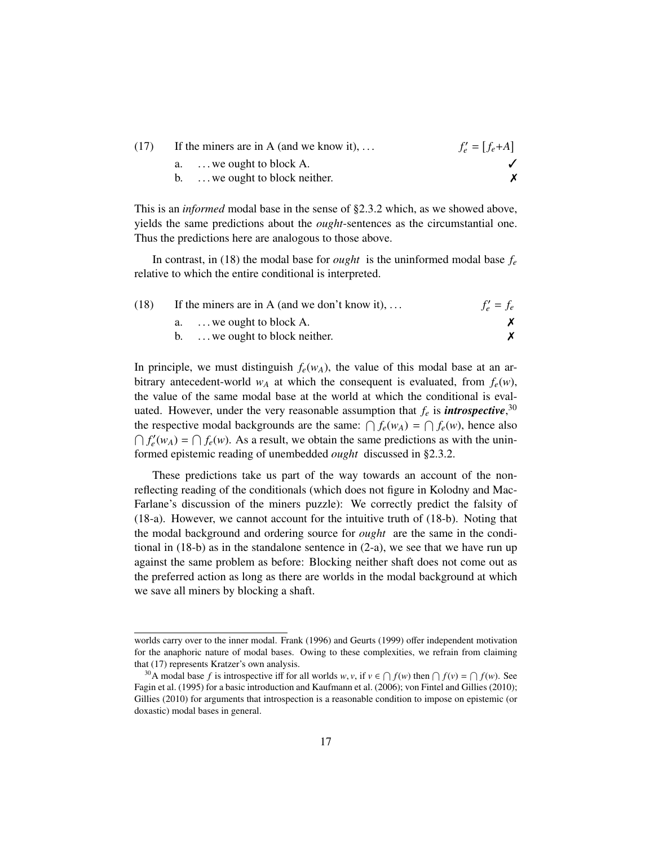| (17) | If the miners are in A (and we know it), $\dots$ | $f'_{e} = [f_{e} + A]$ |  |
|------|--------------------------------------------------|------------------------|--|
|      | a. $\ldots$ we ought to block A.                 |                        |  |
|      | b. $\ldots$ we ought to block neither.           |                        |  |

This is an *informed* modal base in the sense of §2.3.2 which, as we showed above, yields the same predictions about the *ought*-sentences as the circumstantial one. Thus the predictions here are analogous to those above.

In contrast, in (18) the modal base for *ought* is the uninformed modal base *f<sup>e</sup>* relative to which the entire conditional is interpreted.

| (18) | If the miners are in A (and we don't know it), $\dots$ | $f'_e = f_e$ |
|------|--------------------------------------------------------|--------------|
|      | a. $\ldots$ we ought to block A.                       |              |
|      | b. $\ldots$ we ought to block neither.                 |              |

In principle, we must distinguish  $f_e(w_A)$ , the value of this modal base at an arbitrary antecedent-world  $w_A$  at which the consequent is evaluated, from  $f_e(w)$ , the value of the same modal base at the world at which the conditional is evaluated. However, under the very reasonable assumption that  $f_e$  is *introspective*,<sup>30</sup> the respective modal backgrounds are the same:  $\bigcap f_e(w_A) = \bigcap f_e(w)$ , hence also  $\bigcap f'_e(w_A) = \bigcap f_e(w)$ . As a result, we obtain the same predictions as with the uninformed epistemic reading of unembedded *ought* discussed in §2.3.2.

These predictions take us part of the way towards an account of the nonreflecting reading of the conditionals (which does not figure in Kolodny and Mac-Farlane's discussion of the miners puzzle): We correctly predict the falsity of (18-a). However, we cannot account for the intuitive truth of (18-b). Noting that the modal background and ordering source for *ought* are the same in the conditional in  $(18-b)$  as in the standalone sentence in  $(2-a)$ , we see that we have run up against the same problem as before: Blocking neither shaft does not come out as the preferred action as long as there are worlds in the modal background at which we save all miners by blocking a shaft.

worlds carry over to the inner modal. Frank (1996) and Geurts (1999) offer independent motivation for the anaphoric nature of modal bases. Owing to these complexities, we refrain from claiming that (17) represents Kratzer's own analysis.

<sup>&</sup>lt;sup>30</sup>A modal base *f* is introspective iff for all worlds *w*, *v*, if  $v \in \bigcap f(w)$  then  $\bigcap f(v) = \bigcap f(w)$ . See Fagin et al. (1995) for a basic introduction and Kaufmann et al. (2006); von Fintel and Gillies (2010); Gillies (2010) for arguments that introspection is a reasonable condition to impose on epistemic (or doxastic) modal bases in general.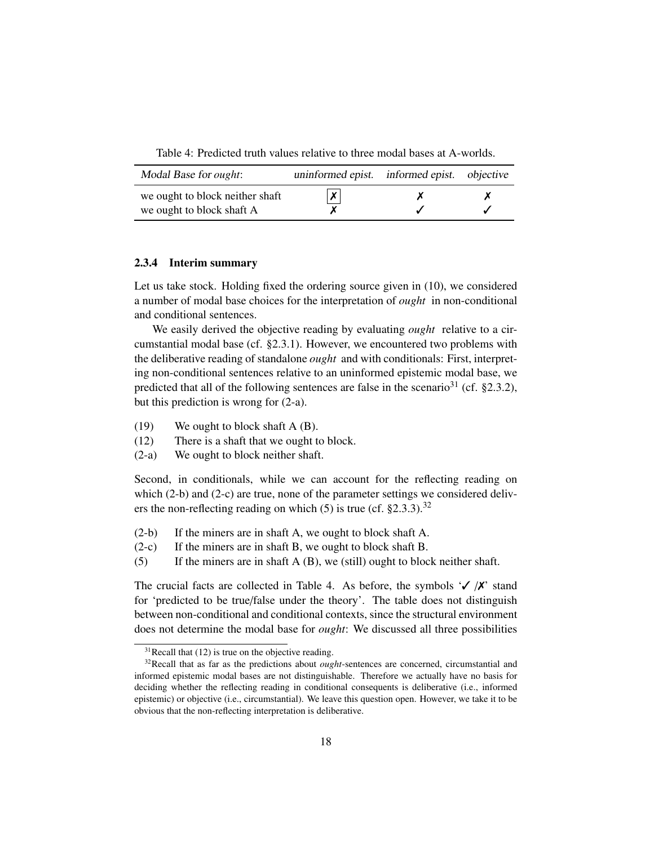Table 4: Predicted truth values relative to three modal bases at A-worlds.

| Modal Base for <i>ought</i> :                                | uninformed epist. informed epist. objective |  |
|--------------------------------------------------------------|---------------------------------------------|--|
| we ought to block neither shaft<br>we ought to block shaft A | $\boldsymbol{x}$                            |  |

#### 2.3.4 Interim summary

Let us take stock. Holding fixed the ordering source given in (10), we considered a number of modal base choices for the interpretation of *ought* in non-conditional and conditional sentences.

We easily derived the objective reading by evaluating *ought* relative to a circumstantial modal base (cf. §2.3.1). However, we encountered two problems with the deliberative reading of standalone *ought* and with conditionals: First, interpreting non-conditional sentences relative to an uninformed epistemic modal base, we predicted that all of the following sentences are false in the scenario<sup>31</sup> (cf. §2.3.2), but this prediction is wrong for (2-a).

- (19) We ought to block shaft A (B).
- (12) There is a shaft that we ought to block.
- (2-a) We ought to block neither shaft.

Second, in conditionals, while we can account for the reflecting reading on which (2-b) and (2-c) are true, none of the parameter settings we considered delivers the non-reflecting reading on which  $(5)$  is true (cf. §2.3.3).<sup>32</sup>

- (2-b) If the miners are in shaft A, we ought to block shaft A.
- (2-c) If the miners are in shaft B, we ought to block shaft B.
- (5) If the miners are in shaft A (B), we (still) ought to block neither shaft.

The crucial facts are collected in Table 4. As before, the symbols ' $\checkmark$  / $\checkmark$ ' stand for 'predicted to be true/false under the theory'. The table does not distinguish between non-conditional and conditional contexts, since the structural environment does not determine the modal base for *ought*: We discussed all three possibilities

 $31$  Recall that (12) is true on the objective reading.

<sup>&</sup>lt;sup>32</sup>Recall that as far as the predictions about *ought*-sentences are concerned, circumstantial and informed epistemic modal bases are not distinguishable. Therefore we actually have no basis for deciding whether the reflecting reading in conditional consequents is deliberative (i.e., informed epistemic) or objective (i.e., circumstantial). We leave this question open. However, we take it to be obvious that the non-reflecting interpretation is deliberative.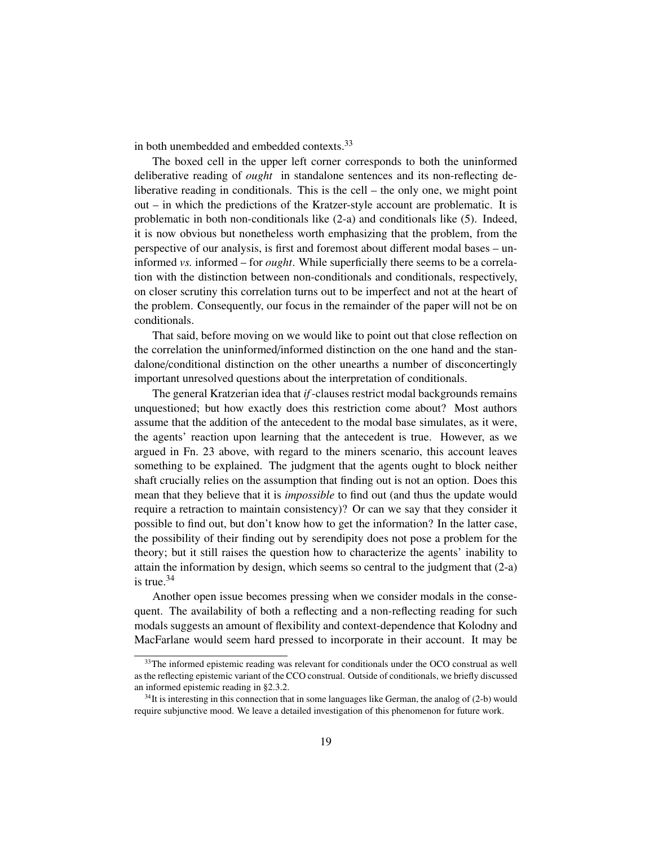in both unembedded and embedded contexts.<sup>33</sup>

The boxed cell in the upper left corner corresponds to both the uninformed deliberative reading of *ought* in standalone sentences and its non-reflecting deliberative reading in conditionals. This is the cell – the only one, we might point out – in which the predictions of the Kratzer-style account are problematic. It is problematic in both non-conditionals like (2-a) and conditionals like (5). Indeed, it is now obvious but nonetheless worth emphasizing that the problem, from the perspective of our analysis, is first and foremost about different modal bases – uninformed *vs.* informed – for *ought*. While superficially there seems to be a correlation with the distinction between non-conditionals and conditionals, respectively, on closer scrutiny this correlation turns out to be imperfect and not at the heart of the problem. Consequently, our focus in the remainder of the paper will not be on conditionals.

That said, before moving on we would like to point out that close reflection on the correlation the uninformed/informed distinction on the one hand and the standalone/conditional distinction on the other unearths a number of disconcertingly important unresolved questions about the interpretation of conditionals.

The general Kratzerian idea that *if*-clauses restrict modal backgrounds remains unquestioned; but how exactly does this restriction come about? Most authors assume that the addition of the antecedent to the modal base simulates, as it were, the agents' reaction upon learning that the antecedent is true. However, as we argued in Fn. 23 above, with regard to the miners scenario, this account leaves something to be explained. The judgment that the agents ought to block neither shaft crucially relies on the assumption that finding out is not an option. Does this mean that they believe that it is *impossible* to find out (and thus the update would require a retraction to maintain consistency)? Or can we say that they consider it possible to find out, but don't know how to get the information? In the latter case, the possibility of their finding out by serendipity does not pose a problem for the theory; but it still raises the question how to characterize the agents' inability to attain the information by design, which seems so central to the judgment that (2-a) is true.<sup>34</sup>

Another open issue becomes pressing when we consider modals in the consequent. The availability of both a reflecting and a non-reflecting reading for such modals suggests an amount of flexibility and context-dependence that Kolodny and MacFarlane would seem hard pressed to incorporate in their account. It may be

<sup>&</sup>lt;sup>33</sup>The informed epistemic reading was relevant for conditionals under the OCO construal as well as the reflecting epistemic variant of the CCO construal. Outside of conditionals, we briefly discussed an informed epistemic reading in §2.3.2.

<sup>34</sup>It is interesting in this connection that in some languages like German, the analog of (2-b) would require subjunctive mood. We leave a detailed investigation of this phenomenon for future work.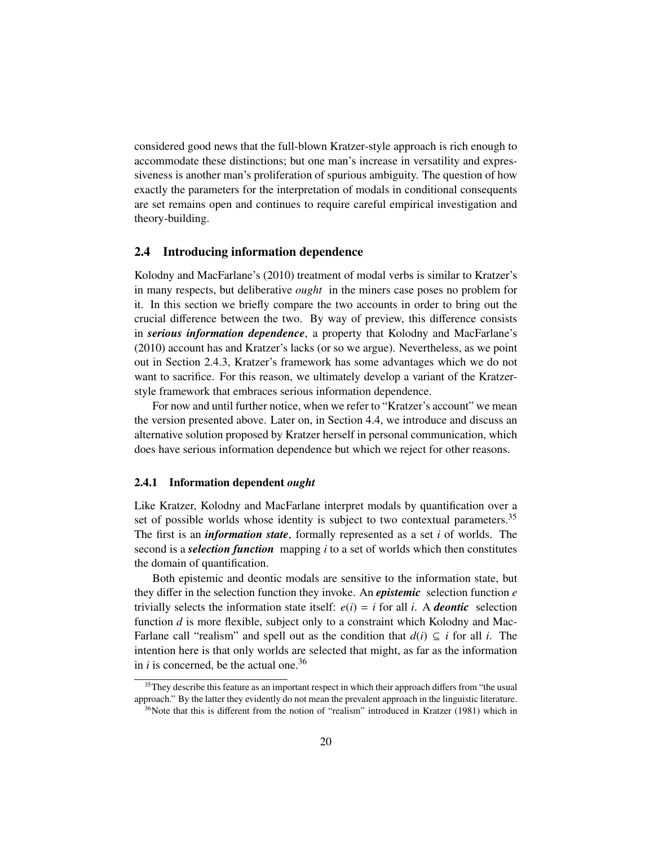considered good news that the full-blown Kratzer-style approach is rich enough to accommodate these distinctions; but one man's increase in versatility and expressiveness is another man's proliferation of spurious ambiguity. The question of how exactly the parameters for the interpretation of modals in conditional consequents are set remains open and continues to require careful empirical investigation and theory-building.

## 2.4 Introducing information dependence

Kolodny and MacFarlane's (2010) treatment of modal verbs is similar to Kratzer's in many respects, but deliberative *ought* in the miners case poses no problem for it. In this section we briefly compare the two accounts in order to bring out the crucial difference between the two. By way of preview, this difference consists in *serious information dependence*, a property that Kolodny and MacFarlane's (2010) account has and Kratzer's lacks (or so we argue). Nevertheless, as we point out in Section 2.4.3, Kratzer's framework has some advantages which we do not want to sacrifice. For this reason, we ultimately develop a variant of the Kratzerstyle framework that embraces serious information dependence.

For now and until further notice, when we refer to "Kratzer's account" we mean the version presented above. Later on, in Section 4.4, we introduce and discuss an alternative solution proposed by Kratzer herself in personal communication, which does have serious information dependence but which we reject for other reasons.

#### 2.4.1 Information dependent *ought*

Like Kratzer, Kolodny and MacFarlane interpret modals by quantification over a set of possible worlds whose identity is subject to two contextual parameters.<sup>35</sup> The first is an *information state*, formally represented as a set *i* of worlds. The second is a *selection function* mapping *i* to a set of worlds which then constitutes the domain of quantification.

Both epistemic and deontic modals are sensitive to the information state, but they differ in the selection function they invoke. An *epistemic* selection function *e* trivially selects the information state itself:  $e(i) = i$  for all *i*. A *deontic* selection function *d* is more flexible, subject only to a constraint which Kolodny and Mac-Farlane call "realism" and spell out as the condition that  $d(i) \subseteq i$  for all *i*. The intention here is that only worlds are selected that might, as far as the information in  $i$  is concerned, be the actual one.<sup>36</sup>

<sup>&</sup>lt;sup>35</sup>They describe this feature as an important respect in which their approach differs from "the usual approach." By the latter they evidently do not mean the prevalent approach in the linguistic literature. <sup>36</sup>Note that this is different from the notion of "realism" introduced in Kratzer (1981) which in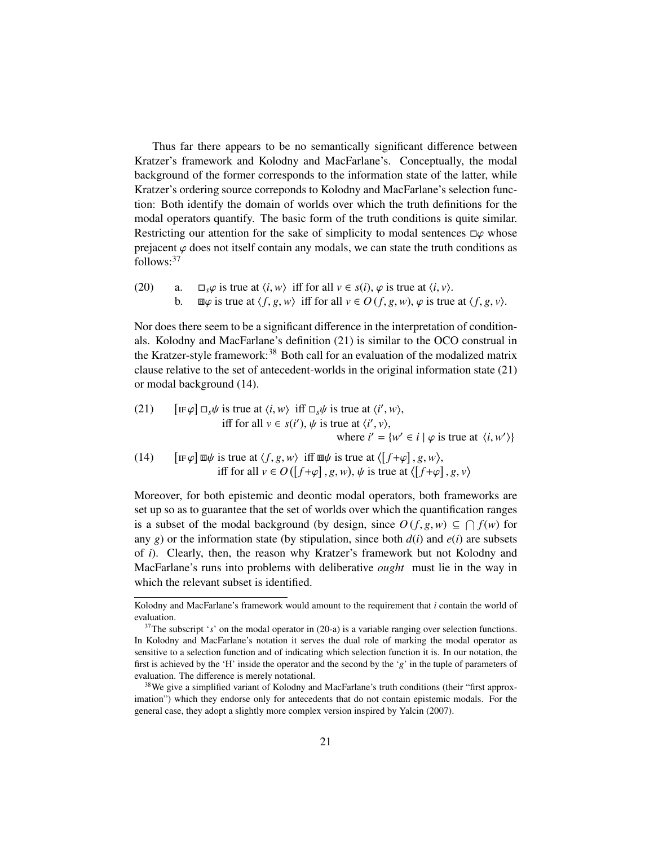Thus far there appears to be no semantically significant difference between Kratzer's framework and Kolodny and MacFarlane's. Conceptually, the modal background of the former corresponds to the information state of the latter, while Kratzer's ordering source correponds to Kolodny and MacFarlane's selection function: Both identify the domain of worlds over which the truth definitions for the modal operators quantify. The basic form of the truth conditions is quite similar. Restricting our attention for the sake of simplicity to modal sentences  $\Box \varphi$  whose prejacent  $\varphi$  does not itself contain any modals, we can state the truth conditions as follows:<sup>37</sup>

(20) a.  $\square_s \varphi$  is true at  $\langle i, w \rangle$  iff for all  $v \in s(i)$ ,  $\varphi$  is true at  $\langle i, v \rangle$ .<br>b.  $\square \varphi$  is true at  $\langle f, g, w \rangle$  iff for all  $v \in O(f, g, w)$ ,  $\varphi$  is true  $\Box$ φ is true at  $\langle f, g, w \rangle$  iff for all  $v \in O(f, g, w)$ ,  $\varphi$  is true at  $\langle f, g, v \rangle$ .

Nor does there seem to be a significant difference in the interpretation of conditionals. Kolodny and MacFarlane's definition (21) is similar to the OCO construal in the Kratzer-style framework:<sup>38</sup> Both call for an evaluation of the modalized matrix clause relative to the set of antecedent-worlds in the original information state (21) or modal background (14).

(21) 
$$
[\text{IF }\varphi] \Box_s \psi \text{ is true at } \langle i, w \rangle \text{ iff } \Box_s \psi \text{ is true at } \langle i', w \rangle, \\ \text{ iff for all } v \in s(i'), \psi \text{ is true at } \langle i', v \rangle, \\ \text{ where } i' = \{w' \in i \mid \varphi \text{ is true at } \langle i, w' \rangle\}
$$

 $(14)$ IF  $\varphi$   $\Box \psi$  is true at  $\langle f, g, w \rangle$  iff  $\Box \psi$  is true at  $\langle [f+\varphi], g, w \rangle$ ,<br>iff for all  $y \in O([f+\varphi], g, w)$ ,  $\psi$  is true at  $([f+\varphi], g, w)$ iff for all  $v \in O([f + \varphi], g, w)$ ,  $\psi$  is true at  $\langle [f + \varphi], g, v \rangle$ 

Moreover, for both epistemic and deontic modal operators, both frameworks are set up so as to guarantee that the set of worlds over which the quantification ranges is a subset of the modal background (by design, since  $O(f, g, w) \subseteq \bigcap f(w)$  for any *g*) or the information state (by stipulation, since both  $d(i)$  and  $g(i)$  are subsets any *g*) or the information state (by stipulation, since both  $d(i)$  and  $e(i)$  are subsets of *i*). Clearly, then, the reason why Kratzer's framework but not Kolodny and MacFarlane's runs into problems with deliberative *ought* must lie in the way in which the relevant subset is identified.

Kolodny and MacFarlane's framework would amount to the requirement that *i* contain the world of evaluation.

<sup>&</sup>lt;sup>37</sup>The subscript 's' on the modal operator in (20-a) is a variable ranging over selection functions. In Kolodny and MacFarlane's notation it serves the dual role of marking the modal operator as sensitive to a selection function and of indicating which selection function it is. In our notation, the first is achieved by the 'H' inside the operator and the second by the '*g*' in the tuple of parameters of evaluation. The difference is merely notational.

<sup>&</sup>lt;sup>38</sup>We give a simplified variant of Kolodny and MacFarlane's truth conditions (their "first approximation") which they endorse only for antecedents that do not contain epistemic modals. For the general case, they adopt a slightly more complex version inspired by Yalcin (2007).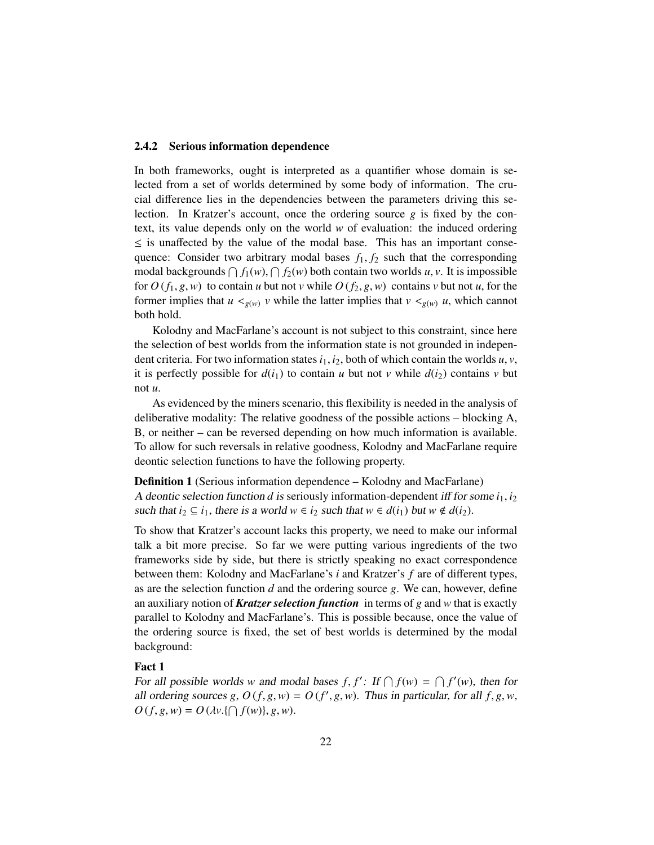#### 2.4.2 Serious information dependence

In both frameworks, ought is interpreted as a quantifier whose domain is selected from a set of worlds determined by some body of information. The crucial difference lies in the dependencies between the parameters driving this selection. In Kratzer's account, once the ordering source *g* is fixed by the context, its value depends only on the world *w* of evaluation: the induced ordering  $\leq$  is unaffected by the value of the modal base. This has an important consequence: Consider two arbitrary modal bases  $f_1, f_2$  such that the corresponding modal backgrounds  $\bigcap f_1(w), \bigcap f_2(w)$  both contain two worlds *u*, *v*. It is impossible<br>for  $O(f, g, w)$  to contain *u* but not *y* while  $O(f, g, w)$  contains *y* but not *u* for the for  $O(f_1, g, w)$  to contain *u* but not *v* while  $O(f_2, g, w)$  contains *v* but not *u*, for the former implies that  $u \lt_{g(w)} v$  while the latter implies that  $v \lt_{g(w)} u$ , which cannot both hold.

Kolodny and MacFarlane's account is not subject to this constraint, since here the selection of best worlds from the information state is not grounded in independent criteria. For two information states  $i_1$ ,  $i_2$ , both of which contain the worlds  $u$ ,  $v$ , it is perfectly possible for  $d(i_1)$  to contain *u* but not *v* while  $d(i_2)$  contains *v* but not *u*.

As evidenced by the miners scenario, this flexibility is needed in the analysis of deliberative modality: The relative goodness of the possible actions – blocking A, B, or neither – can be reversed depending on how much information is available. To allow for such reversals in relative goodness, Kolodny and MacFarlane require deontic selection functions to have the following property.

Definition 1 (Serious information dependence – Kolodny and MacFarlane) A deontic selection function *d* is seriously information-dependent iff for some  $i_1, i_2$ such that  $i_2 \subseteq i_1$ , there is a world  $w \in i_2$  such that  $w \in d(i_1)$  but  $w \notin d(i_2)$ .

To show that Kratzer's account lacks this property, we need to make our informal talk a bit more precise. So far we were putting various ingredients of the two frameworks side by side, but there is strictly speaking no exact correspondence between them: Kolodny and MacFarlane's *i* and Kratzer's *f* are of different types, as are the selection function *d* and the ordering source *g*. We can, however, define an auxiliary notion of *Kratzer selection function* in terms of *g* and *w* that is exactly parallel to Kolodny and MacFarlane's. This is possible because, once the value of the ordering source is fixed, the set of best worlds is determined by the modal background:

#### Fact 1

For all possible worlds *w* and modal bases  $f, f'$ : If  $\bigcap f(w) = \bigcap f'(w)$ , then for all ordering sources a  $O(f, g, w) = O(f', g, w)$ . Thus in particular for all f.a.w. all ordering sources *g*,  $O(f, g, w) = O(f', g, w)$ . Thus in particular, for all  $f, g, w$ ,  $O(f, g, w) = O(\frac{1}{2}v \log \frac{g}{g}, w)$  $O(f, g, w) = O(\lambda v \cdot \{ \cap f(w) \}, g, w).$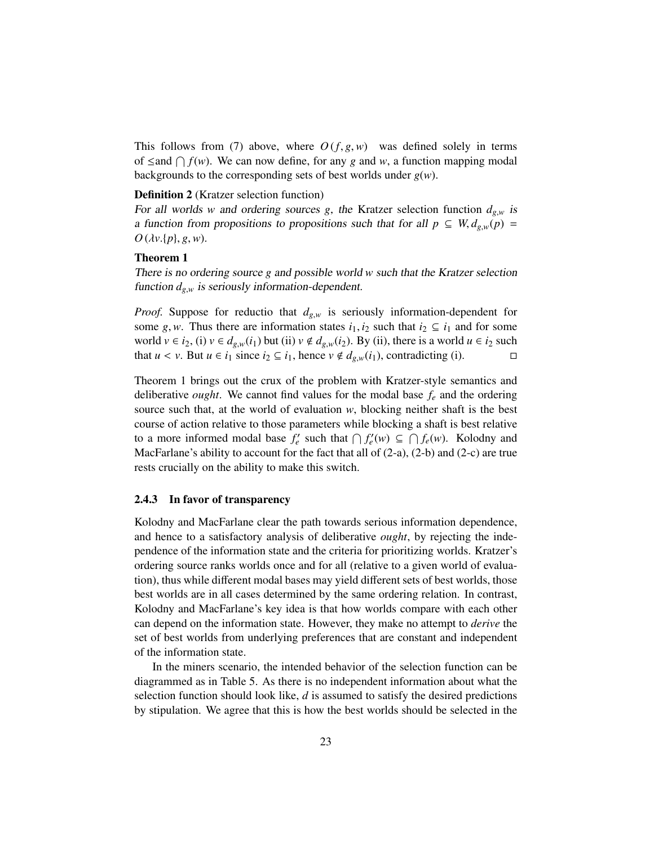This follows from (7) above, where  $O(f, g, w)$  was defined solely in terms of ≤and  $\bigcap f(w)$ . We can now define, for any *g* and *w*, a function mapping modal backgrounds to the corresponding sets of best worlds under *g*(*w*).

### Definition 2 (Kratzer selection function)

For all worlds *w* and ordering sources *g*, the Kratzer selection function  $d_{g,w}$  is a function from propositions to propositions such that for all  $p \subseteq W, d_{g,w}(p) =$  $O(\lambda v.\{p\}, g, w)$ .

## Theorem 1

There is no ordering source *g* and possible world *w* such that the Kratzer selection function  $d_{g,w}$  is seriously information-dependent.

*Proof.* Suppose for reductio that  $d_{g,w}$  is seriously information-dependent for some *g*, *w*. Thus there are information states  $i_1$ ,  $i_2$  such that  $i_2 \subseteq i_1$  and for some world *v* ∈ *i*<sub>2</sub>, (i) *v* ∈ *d*<sub>*g*,*w*</sub>(*i*<sub>1</sub>) but (ii) *v* ∉ *d*<sub>*g*,*w*</sub>(*i*<sub>2</sub>). By (ii), there is a world *u* ∈ *i*<sub>2</sub> such that *u* < *v*. But *u* ∈ *i*<sub>1</sub> since *i*<sub>2</sub> ⊆ *i*<sub>1</sub>, hence *v* ∉ *d*<sub>*e*</sub> *w*(*i*<sub>1</sub>) that  $u < v$ . But  $u \in i_1$  since  $i_2 \subseteq i_1$ , hence  $v \notin d_{g,w}(i_1)$ , contradicting (i).

Theorem 1 brings out the crux of the problem with Kratzer-style semantics and deliberative *ought*. We cannot find values for the modal base *f<sup>e</sup>* and the ordering source such that, at the world of evaluation *w*, blocking neither shaft is the best course of action relative to those parameters while blocking a shaft is best relative to a more informed modal base  $f'_e$  such that  $\bigcap f'_e(w) \subseteq \bigcap f_e(w)$ . Kolodny and MacFarlane's ability to account for the fact that all of (2-a), (2-b) and (2-c) are true rests crucially on the ability to make this switch.

#### 2.4.3 In favor of transparency

Kolodny and MacFarlane clear the path towards serious information dependence, and hence to a satisfactory analysis of deliberative *ought*, by rejecting the independence of the information state and the criteria for prioritizing worlds. Kratzer's ordering source ranks worlds once and for all (relative to a given world of evaluation), thus while different modal bases may yield different sets of best worlds, those best worlds are in all cases determined by the same ordering relation. In contrast, Kolodny and MacFarlane's key idea is that how worlds compare with each other can depend on the information state. However, they make no attempt to *derive* the set of best worlds from underlying preferences that are constant and independent of the information state.

In the miners scenario, the intended behavior of the selection function can be diagrammed as in Table 5. As there is no independent information about what the selection function should look like, *d* is assumed to satisfy the desired predictions by stipulation. We agree that this is how the best worlds should be selected in the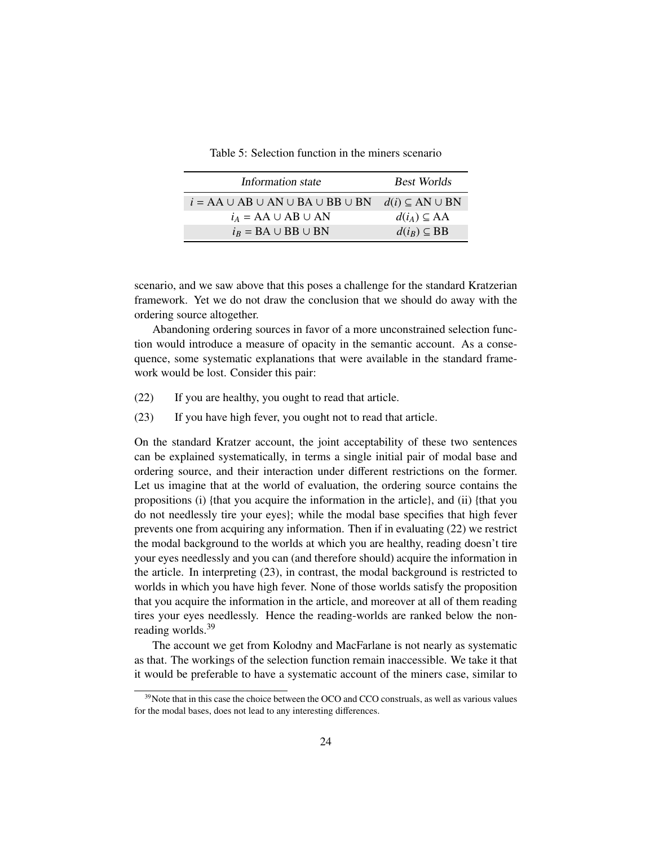Table 5: Selection function in the miners scenario

| Information state                                | <b>Best Worlds</b>          |
|--------------------------------------------------|-----------------------------|
| $i = AA \cup AB \cup AN \cup BA \cup BB \cup BN$ | $d(i) \subseteq AN \cup BN$ |
| $i_A = AA \cup AB \cup AN$                       | $d(i_A) \subseteq AA$       |
| $i_R = BA \cup BB \cup BN$                       | $d(i_R) \subseteq BB$       |

scenario, and we saw above that this poses a challenge for the standard Kratzerian framework. Yet we do not draw the conclusion that we should do away with the ordering source altogether.

Abandoning ordering sources in favor of a more unconstrained selection function would introduce a measure of opacity in the semantic account. As a consequence, some systematic explanations that were available in the standard framework would be lost. Consider this pair:

- (22) If you are healthy, you ought to read that article.
- (23) If you have high fever, you ought not to read that article.

On the standard Kratzer account, the joint acceptability of these two sentences can be explained systematically, in terms a single initial pair of modal base and ordering source, and their interaction under different restrictions on the former. Let us imagine that at the world of evaluation, the ordering source contains the propositions (i) {that you acquire the information in the article}, and (ii) {that you do not needlessly tire your eyes}; while the modal base specifies that high fever prevents one from acquiring any information. Then if in evaluating (22) we restrict the modal background to the worlds at which you are healthy, reading doesn't tire your eyes needlessly and you can (and therefore should) acquire the information in the article. In interpreting (23), in contrast, the modal background is restricted to worlds in which you have high fever. None of those worlds satisfy the proposition that you acquire the information in the article, and moreover at all of them reading tires your eyes needlessly. Hence the reading-worlds are ranked below the nonreading worlds.<sup>39</sup>

The account we get from Kolodny and MacFarlane is not nearly as systematic as that. The workings of the selection function remain inaccessible. We take it that it would be preferable to have a systematic account of the miners case, similar to

<sup>&</sup>lt;sup>39</sup>Note that in this case the choice between the OCO and CCO construals, as well as various values for the modal bases, does not lead to any interesting differences.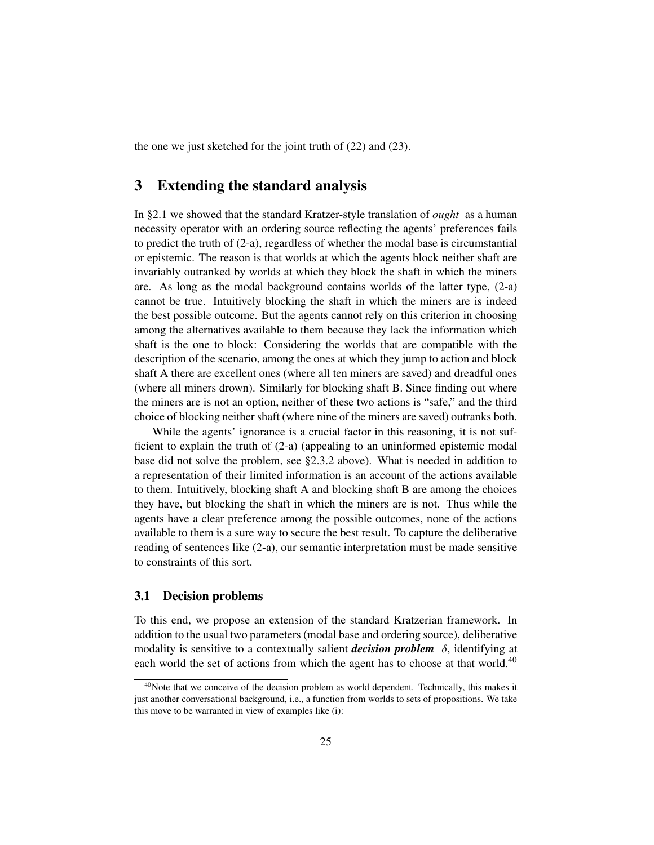the one we just sketched for the joint truth of (22) and (23).

## 3 Extending the standard analysis

In §2.1 we showed that the standard Kratzer-style translation of *ought* as a human necessity operator with an ordering source reflecting the agents' preferences fails to predict the truth of (2-a), regardless of whether the modal base is circumstantial or epistemic. The reason is that worlds at which the agents block neither shaft are invariably outranked by worlds at which they block the shaft in which the miners are. As long as the modal background contains worlds of the latter type, (2-a) cannot be true. Intuitively blocking the shaft in which the miners are is indeed the best possible outcome. But the agents cannot rely on this criterion in choosing among the alternatives available to them because they lack the information which shaft is the one to block: Considering the worlds that are compatible with the description of the scenario, among the ones at which they jump to action and block shaft A there are excellent ones (where all ten miners are saved) and dreadful ones (where all miners drown). Similarly for blocking shaft B. Since finding out where the miners are is not an option, neither of these two actions is "safe," and the third choice of blocking neither shaft (where nine of the miners are saved) outranks both.

While the agents' ignorance is a crucial factor in this reasoning, it is not sufficient to explain the truth of (2-a) (appealing to an uninformed epistemic modal base did not solve the problem, see §2.3.2 above). What is needed in addition to a representation of their limited information is an account of the actions available to them. Intuitively, blocking shaft A and blocking shaft B are among the choices they have, but blocking the shaft in which the miners are is not. Thus while the agents have a clear preference among the possible outcomes, none of the actions available to them is a sure way to secure the best result. To capture the deliberative reading of sentences like (2-a), our semantic interpretation must be made sensitive to constraints of this sort.

#### 3.1 Decision problems

To this end, we propose an extension of the standard Kratzerian framework. In addition to the usual two parameters (modal base and ordering source), deliberative modality is sensitive to a contextually salient *decision problem* δ, identifying at each world the set of actions from which the agent has to choose at that world.<sup>40</sup>

<sup>&</sup>lt;sup>40</sup>Note that we conceive of the decision problem as world dependent. Technically, this makes it just another conversational background, i.e., a function from worlds to sets of propositions. We take this move to be warranted in view of examples like (i):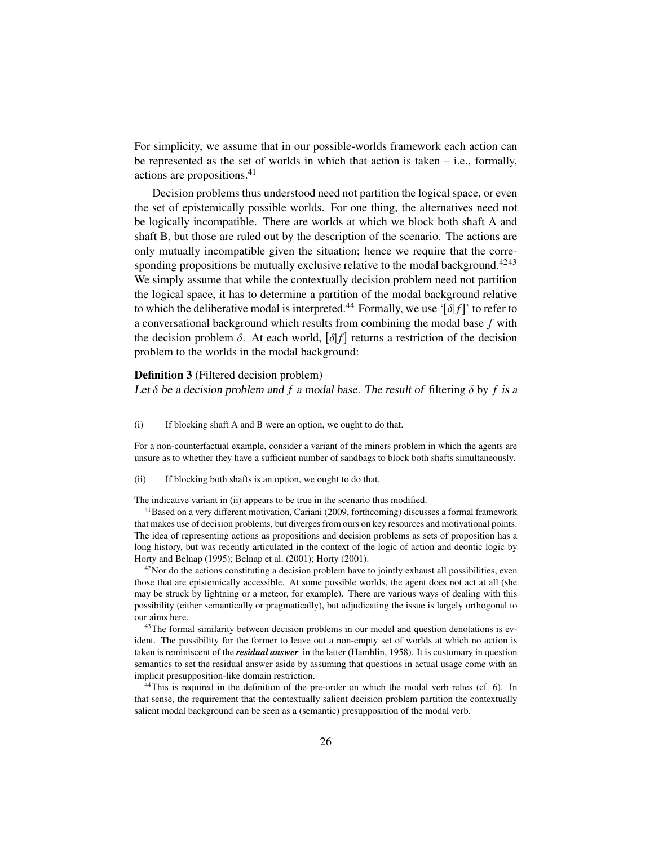For simplicity, we assume that in our possible-worlds framework each action can be represented as the set of worlds in which that action is taken  $-$  i.e., formally, actions are propositions.<sup>41</sup>

Decision problems thus understood need not partition the logical space, or even the set of epistemically possible worlds. For one thing, the alternatives need not be logically incompatible. There are worlds at which we block both shaft A and shaft B, but those are ruled out by the description of the scenario. The actions are only mutually incompatible given the situation; hence we require that the corresponding propositions be mutually exclusive relative to the modal background.<sup>4243</sup> We simply assume that while the contextually decision problem need not partition the logical space, it has to determine a partition of the modal background relative to which the deliberative modal is interpreted.<sup>44</sup> Formally, we use ' $[\delta]f$ ' to refer to a conversational background which results from combining the modal base f with a conversational background which results from combining the modal base *f* with the decision problem  $\delta$ . At each world,  $[\delta|f]$  returns a restriction of the decision problem to the worlds in the modal background. problem to the worlds in the modal background:

Definition 3 (Filtered decision problem) Let  $\delta$  be a decision problem and  $f$  a modal base. The result of filtering  $\delta$  by  $f$  is a

(ii) If blocking both shafts is an option, we ought to do that.

The indicative variant in (ii) appears to be true in the scenario thus modified.

 $42$ Nor do the actions constituting a decision problem have to jointly exhaust all possibilities, even those that are epistemically accessible. At some possible worlds, the agent does not act at all (she may be struck by lightning or a meteor, for example). There are various ways of dealing with this possibility (either semantically or pragmatically), but adjudicating the issue is largely orthogonal to our aims here.

<sup>43</sup>The formal similarity between decision problems in our model and question denotations is evident. The possibility for the former to leave out a non-empty set of worlds at which no action is taken is reminiscent of the *residual answer* in the latter (Hamblin, 1958). It is customary in question semantics to set the residual answer aside by assuming that questions in actual usage come with an implicit presupposition-like domain restriction.

<sup>44</sup>This is required in the definition of the pre-order on which the modal verb relies (cf. 6). In that sense, the requirement that the contextually salient decision problem partition the contextually salient modal background can be seen as a (semantic) presupposition of the modal verb.

<sup>(</sup>i) If blocking shaft A and B were an option, we ought to do that.

For a non-counterfactual example, consider a variant of the miners problem in which the agents are unsure as to whether they have a sufficient number of sandbags to block both shafts simultaneously.

<sup>41</sup>Based on a very different motivation, Cariani (2009, forthcoming) discusses a formal framework that makes use of decision problems, but diverges from ours on key resources and motivational points. The idea of representing actions as propositions and decision problems as sets of proposition has a long history, but was recently articulated in the context of the logic of action and deontic logic by Horty and Belnap (1995); Belnap et al. (2001); Horty (2001).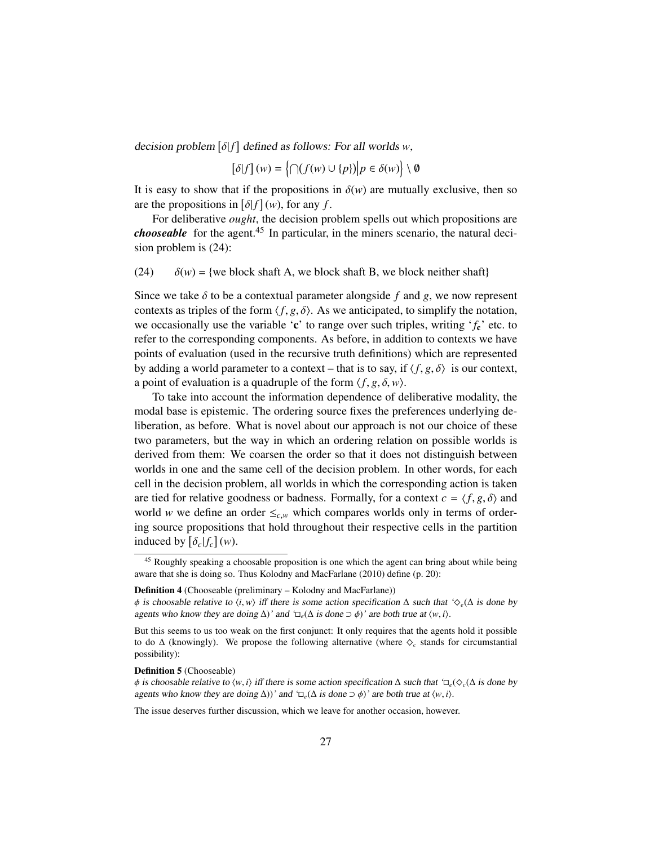decision problem  $[\delta|f]$  defined as follows: For all worlds *w*,

$$
[\delta[f](w) = \left\{ \bigcap (f(w) \cup \{p\}) \middle| p \in \delta(w) \right\} \setminus \emptyset
$$

It is easy to show that if the propositions in  $\delta(w)$  are mutually exclusive, then so are the propositions in  $\delta[f](w)$ , for any *f*.<br>For deliberative quality the decision pro-

For deliberative *ought*, the decision problem spells out which propositions are *chooseable* for the agent.<sup>45</sup> In particular, in the miners scenario, the natural decision problem is (24):

#### (24)  $\delta(w) = \{$ we block shaft A, we block shaft B, we block neither shaft $\}$

Since we take  $\delta$  to be a contextual parameter alongside f and g, we now represent contexts as triples of the form  $\langle f, g, \delta \rangle$ . As we anticipated, to simplify the notation, we occasionally use the variable 'c' to range over such triples, writing '*f*c' etc. to refer to the corresponding components. As before, in addition to contexts we have points of evaluation (used in the recursive truth definitions) which are represented by adding a world parameter to a context – that is to say, if  $\langle f, g, \delta \rangle$  is our context, a point of evaluation is a quadruple of the form  $\langle f, g, \delta, w \rangle$ .

To take into account the information dependence of deliberative modality, the modal base is epistemic. The ordering source fixes the preferences underlying deliberation, as before. What is novel about our approach is not our choice of these two parameters, but the way in which an ordering relation on possible worlds is derived from them: We coarsen the order so that it does not distinguish between worlds in one and the same cell of the decision problem. In other words, for each cell in the decision problem, all worlds in which the corresponding action is taken are tied for relative goodness or badness. Formally, for a context  $c = \langle f, g, \delta \rangle$  and world *w* we define an order  $\leq_{c,w}$  which compares worlds only in terms of ordering source propositions that hold throughout their respective cells in the partition induced by  $[\delta_c|f_c](w)$ .

#### Definition 5 (Chooseable)

<sup>&</sup>lt;sup>45</sup> Roughly speaking a choosable proposition is one which the agent can bring about while being aware that she is doing so. Thus Kolodny and MacFarlane (2010) define (p. 20):

Definition 4 (Chooseable (preliminary – Kolodny and MacFarlane))

 $\phi$  is choosable relative to  $\langle i, w \rangle$  iff there is some action specification  $\Delta$  such that ' $\diamondsuit_e(\Delta$  is done by agents who know they are doing  $\Delta$ )' and ' $\Box_e(\Delta$  is done  $\supset \phi$ )' are both true at  $\langle w, i \rangle$ .

But this seems to us too weak on the first conjunct: It only requires that the agents hold it possible to do ∆ (knowingly). We propose the following alternative (where ^*<sup>c</sup>* stands for circumstantial possibility):

 $\phi$  is choosable relative to  $\langle w, i \rangle$  iff there is some action specification  $\Delta$  such that ' $\Box_e(\Diamond_c(\Delta \text{ is done by}))$ agents who know they are doing  $\Delta$ ))' and  $\Delta$ <sub>e</sub>( $\Delta$  is done  $\Delta$   $\phi$ )' are both true at  $\langle w, i \rangle$ .

The issue deserves further discussion, which we leave for another occasion, however.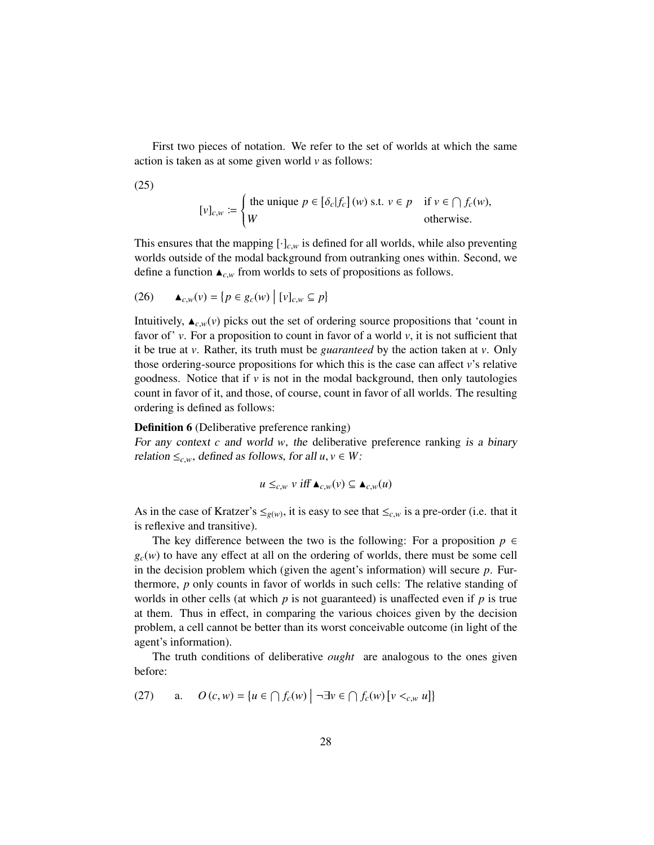First two pieces of notation. We refer to the set of worlds at which the same action is taken as at some given world *v* as follows:

(25)

$$
[v]_{c,w} := \begin{cases} \text{the unique } p \in [\delta_c | f_c] (w) \text{ s.t. } v \in p & \text{if } v \in \bigcap f_c(w), \\ W & \text{otherwise.} \end{cases}
$$

This ensures that the mapping  $[\cdot]_{c,w}$  is defined for all worlds, while also preventing worlds outside of the modal background from outranking ones within. Second, we define a function  $\triangle_{c,w}$  from worlds to sets of propositions as follows.

(26) 
$$
\blacktriangle_{c,w}(v) = \{p \in g_c(w) \mid [v]_{c,w} \subseteq p\}
$$

Intuitively,  $\triangle_{c,w}(v)$  picks out the set of ordering source propositions that 'count in favor of'  $\nu$ . For a proposition to count in favor of a world  $\nu$ , it is not sufficient that it be true at *v*. Rather, its truth must be *guaranteed* by the action taken at *v*. Only those ordering-source propositions for which this is the case can affect *v*'s relative goodness. Notice that if *v* is not in the modal background, then only tautologies count in favor of it, and those, of course, count in favor of all worlds. The resulting ordering is defined as follows:

Definition 6 (Deliberative preference ranking)

For any context *c* and world *w*, the deliberative preference ranking is a binary relation  $\leq_{c,w}$ , defined as follows, for all  $u, v \in W$ :

$$
u\leq_{c,w} v \text{ iff } \blacktriangle_{c,w}(v)\subseteq \blacktriangle_{c,w}(u)
$$

As in the case of Kratzer's  $\leq_{g(w)}$ , it is easy to see that  $\leq_{c,w}$  is a pre-order (i.e. that it is reflexive and transitive).

The key difference between the two is the following: For a proposition  $p \in$  $g_c(w)$  to have any effect at all on the ordering of worlds, there must be some cell in the decision problem which (given the agent's information) will secure *p*. Furthermore, *p* only counts in favor of worlds in such cells: The relative standing of worlds in other cells (at which *p* is not guaranteed) is unaffected even if *p* is true at them. Thus in effect, in comparing the various choices given by the decision problem, a cell cannot be better than its worst conceivable outcome (in light of the agent's information).

The truth conditions of deliberative *ought* are analogous to the ones given before:

(27) a. 
$$
O(c, w) = \{u \in \bigcap f_c(w) \mid \neg \exists v \in \bigcap f_c(w) \, [v <_{c, w} u] \}
$$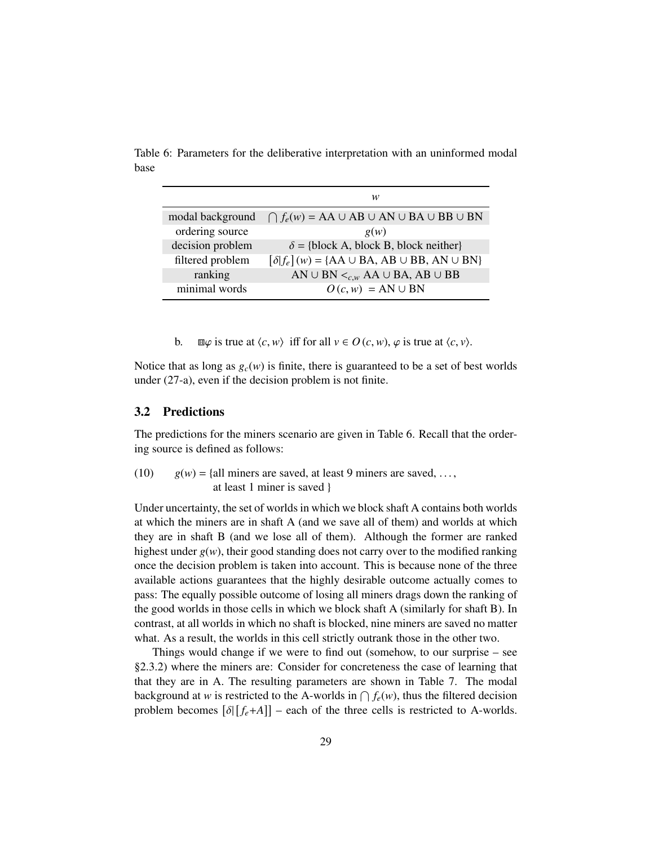|                  | w                                                                      |
|------------------|------------------------------------------------------------------------|
| modal background | $\bigcap f_e(w) = AA \cup AB \cup AN \cup BA \cup BB \cup BN$          |
| ordering source  | g(w)                                                                   |
| decision problem | $\delta$ = {block A, block B, block neither}                           |
| filtered problem | $\left[\delta[f_e](w) = \{AA \cup BA, AB \cup BB, AN \cup BN\}\right]$ |
| ranking          | AN $\cup$ BN $\lt_{c,w}$ AA $\cup$ BA, AB $\cup$ BB                    |
| minimal words    | $O(c, w) = AN \cup BN$                                                 |

Table 6: Parameters for the deliberative interpretation with an uninformed modal base

b.  $\Box \varphi$  is true at  $\langle c, w \rangle$  iff for all  $v \in O(c, w)$ ,  $\varphi$  is true at  $\langle c, v \rangle$ .

Notice that as long as  $g_c(w)$  is finite, there is guaranteed to be a set of best worlds under (27-a), even if the decision problem is not finite.

### 3.2 Predictions

The predictions for the miners scenario are given in Table 6. Recall that the ordering source is defined as follows:

(10)  $g(w) = \{all \text{ miners are saved, at least 9 miners are saved, ...,}$ at least 1 miner is saved }

Under uncertainty, the set of worlds in which we block shaft A contains both worlds at which the miners are in shaft A (and we save all of them) and worlds at which they are in shaft B (and we lose all of them). Although the former are ranked highest under  $g(w)$ , their good standing does not carry over to the modified ranking once the decision problem is taken into account. This is because none of the three available actions guarantees that the highly desirable outcome actually comes to pass: The equally possible outcome of losing all miners drags down the ranking of the good worlds in those cells in which we block shaft A (similarly for shaft B). In contrast, at all worlds in which no shaft is blocked, nine miners are saved no matter what. As a result, the worlds in this cell strictly outrank those in the other two.

Things would change if we were to find out (somehow, to our surprise – see §2.3.2) where the miners are: Consider for concreteness the case of learning that that they are in A. The resulting parameters are shown in Table 7. The modal background at *w* is restricted to the A-worlds in  $\bigcap f_e(w)$ , thus the filtered decision problem becomes  $[\delta | [f_e + A]]$  – each of the three cells is restricted to A-worlds.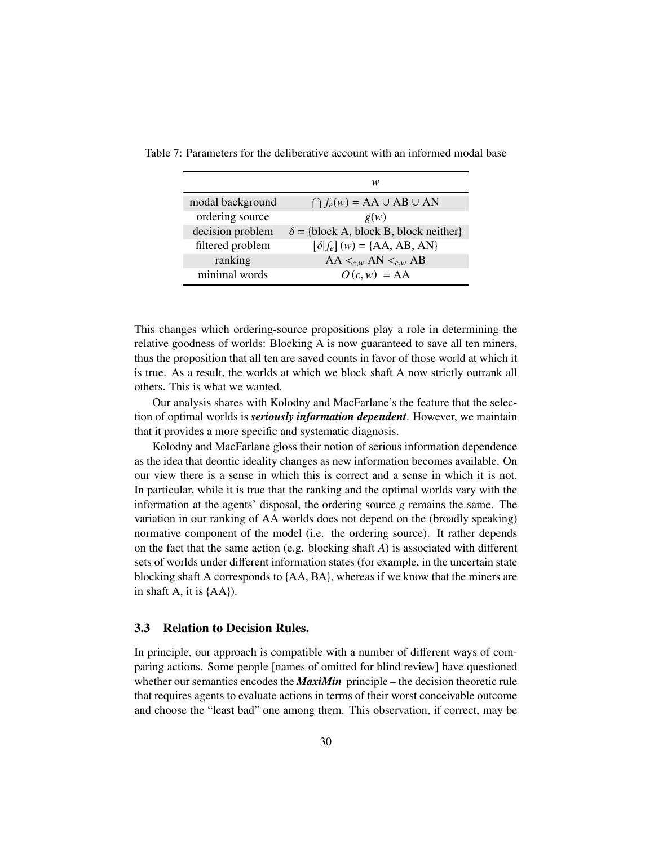|                  | w                                            |
|------------------|----------------------------------------------|
| modal background | $\bigcap$ $f_e(w) = AA \cup AB \cup AN$      |
| ordering source  | g(w)                                         |
| decision problem | $\delta$ = {block A, block B, block neither} |
| filtered problem | $\delta[f_e](w) = \{AA, AB, AN\}$            |
| ranking          | $AA \leq_{c,w} AN \leq_{c,w} AB$             |
| minimal words    | $Q(c, w) = AA$                               |

Table 7: Parameters for the deliberative account with an informed modal base

This changes which ordering-source propositions play a role in determining the relative goodness of worlds: Blocking A is now guaranteed to save all ten miners, thus the proposition that all ten are saved counts in favor of those world at which it is true. As a result, the worlds at which we block shaft A now strictly outrank all others. This is what we wanted.

Our analysis shares with Kolodny and MacFarlane's the feature that the selection of optimal worlds is *seriously information dependent*. However, we maintain that it provides a more specific and systematic diagnosis.

Kolodny and MacFarlane gloss their notion of serious information dependence as the idea that deontic ideality changes as new information becomes available. On our view there is a sense in which this is correct and a sense in which it is not. In particular, while it is true that the ranking and the optimal worlds vary with the information at the agents' disposal, the ordering source *g* remains the same. The variation in our ranking of AA worlds does not depend on the (broadly speaking) normative component of the model (i.e. the ordering source). It rather depends on the fact that the same action (e.g. blocking shaft  $A$ ) is associated with different sets of worlds under different information states (for example, in the uncertain state blocking shaft A corresponds to {AA, BA}, whereas if we know that the miners are in shaft A, it is {AA}).

#### 3.3 Relation to Decision Rules.

In principle, our approach is compatible with a number of different ways of comparing actions. Some people [names of omitted for blind review] have questioned whether our semantics encodes the *MaxiMin* principle – the decision theoretic rule that requires agents to evaluate actions in terms of their worst conceivable outcome and choose the "least bad" one among them. This observation, if correct, may be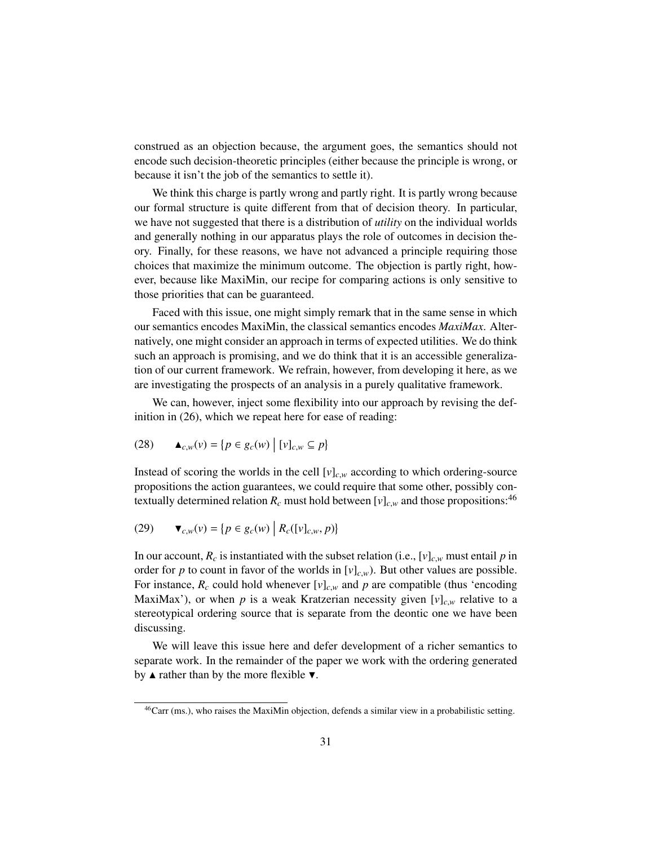construed as an objection because, the argument goes, the semantics should not encode such decision-theoretic principles (either because the principle is wrong, or because it isn't the job of the semantics to settle it).

We think this charge is partly wrong and partly right. It is partly wrong because our formal structure is quite different from that of decision theory. In particular, we have not suggested that there is a distribution of *utility* on the individual worlds and generally nothing in our apparatus plays the role of outcomes in decision theory. Finally, for these reasons, we have not advanced a principle requiring those choices that maximize the minimum outcome. The objection is partly right, however, because like MaxiMin, our recipe for comparing actions is only sensitive to those priorities that can be guaranteed.

Faced with this issue, one might simply remark that in the same sense in which our semantics encodes MaxiMin, the classical semantics encodes *MaxiMax*. Alternatively, one might consider an approach in terms of expected utilities. We do think such an approach is promising, and we do think that it is an accessible generalization of our current framework. We refrain, however, from developing it here, as we are investigating the prospects of an analysis in a purely qualitative framework.

We can, however, inject some flexibility into our approach by revising the definition in (26), which we repeat here for ease of reading:

(28) 
$$
\blacktriangle_{c,w}(v) = \{p \in g_c(w) \mid [v]_{c,w} \subseteq p\}
$$

Instead of scoring the worlds in the cell  $[v]_{c,w}$  according to which ordering-source propositions the action guarantees, we could require that some other, possibly contextually determined relation  $R_c$  must hold between  $[v]_{c,w}$  and those propositions:<sup>46</sup>

(29) 
$$
\mathbf{v}_{c,w}(v) = \{p \in g_c(w) \mid R_c([v]_{c,w}, p)\}
$$

In our account,  $R_c$  is instantiated with the subset relation (i.e.,  $[v]_{c,w}$  must entail *p* in order for *p* to count in favor of the worlds in  $[v]_{c,w}$ ). But other values are possible. For instance,  $R_c$  could hold whenever  $[v]_{c,w}$  and p are compatible (thus 'encoding MaxiMax'), or when p is a weak Kratzerian necessity given  $[v]_{c,w}$  relative to a stereotypical ordering source that is separate from the deontic one we have been discussing.

We will leave this issue here and defer development of a richer semantics to separate work. In the remainder of the paper we work with the ordering generated by  $\blacktriangle$  rather than by the more flexible  $\nabla$ .

<sup>46</sup>Carr (ms.), who raises the MaxiMin objection, defends a similar view in a probabilistic setting.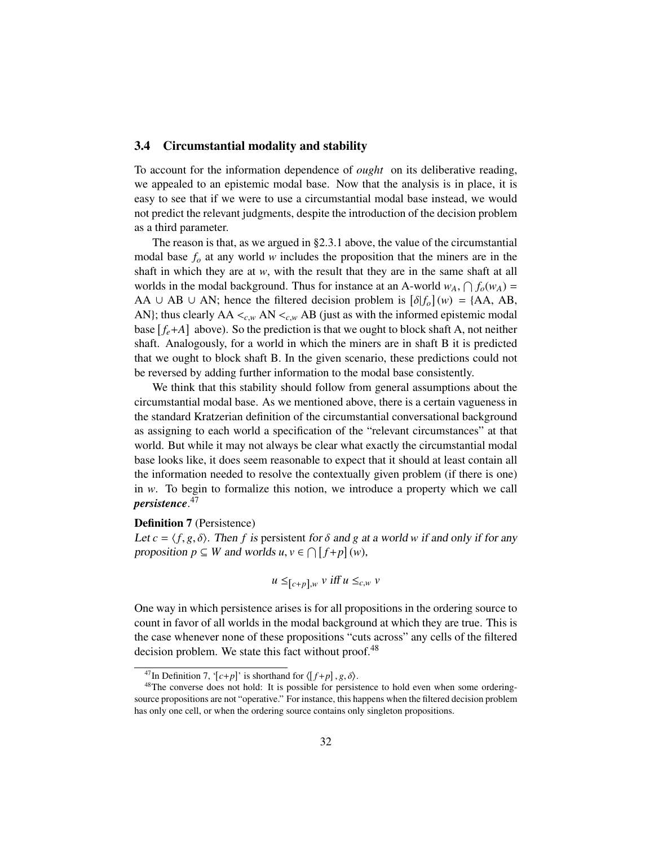### 3.4 Circumstantial modality and stability

To account for the information dependence of *ought* on its deliberative reading, we appealed to an epistemic modal base. Now that the analysis is in place, it is easy to see that if we were to use a circumstantial modal base instead, we would not predict the relevant judgments, despite the introduction of the decision problem as a third parameter.

The reason is that, as we argued in §2.3.1 above, the value of the circumstantial modal base *f<sup>o</sup>* at any world *w* includes the proposition that the miners are in the shaft in which they are at *w*, with the result that they are in the same shaft at all worlds in the modal background. Thus for instance at an A-world  $w_A$ ,  $\bigcap f_o(w_A)$  = AA ∪ AB ∪ AN; hence the filtered decision problem is - δ| *fo* (*w*) = {AA, AB, AN}; thus clearly AA  $\lt_{c,w}$  AN  $\lt_{c,w}$  AB (just as with the informed epistemic modal base  $[f_e+A]$  above). So the prediction is that we ought to block shaft A, not neither shaft. Analogously, for a world in which the miners are in shaft B it is predicted that we ought to block shaft B. In the given scenario, these predictions could not be reversed by adding further information to the modal base consistently.

We think that this stability should follow from general assumptions about the circumstantial modal base. As we mentioned above, there is a certain vagueness in the standard Kratzerian definition of the circumstantial conversational background as assigning to each world a specification of the "relevant circumstances" at that world. But while it may not always be clear what exactly the circumstantial modal base looks like, it does seem reasonable to expect that it should at least contain all the information needed to resolve the contextually given problem (if there is one) in *w*. To begin to formalize this notion, we introduce a property which we call *persistence*. 47

#### Definition 7 (Persistence)

Let  $c = \langle f, g, \delta \rangle$ . Then *f* is persistent for  $\delta$  and *g* at a world *w* if and only if for any proposition  $p \subseteq W$  and worlds  $u, v \in \bigcap [f+p](w)$ ,

$$
u \leq_{[c+p],w} v \text{ iff } u \leq_{c,w} v
$$

One way in which persistence arises is for all propositions in the ordering source to count in favor of all worlds in the modal background at which they are true. This is the case whenever none of these propositions "cuts across" any cells of the filtered decision problem. We state this fact without proof.<sup>48</sup>

<sup>&</sup>lt;sup>47</sup>In Definition 7, ' $[c+p]$ ' is shorthand for  $\langle [f+p], g, \delta \rangle$ .<br><sup>48</sup>The converse does not hold: It is possible for persis

<sup>&</sup>lt;sup>48</sup>The converse does not hold: It is possible for persistence to hold even when some orderingsource propositions are not "operative." For instance, this happens when the filtered decision problem has only one cell, or when the ordering source contains only singleton propositions.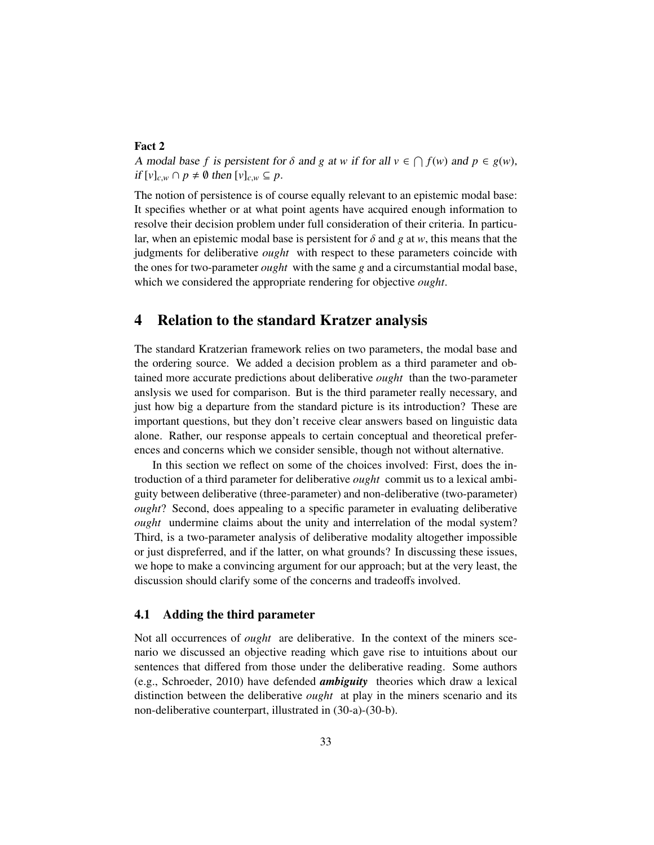## Fact 2

A modal base *f* is persistent for  $\delta$  and  $g$  at  $w$  if for all  $v \in \bigcap f(w)$  and  $p \in g(w)$ , if  $[v]$   $\subset \Omega$   $p \neq \emptyset$  then  $[v]$   $\subset \Omega$ *if*  $[v]_{c,w} ∩ p ≠ ∅$  then  $[v]_{c,w} ⊆ p$ .

The notion of persistence is of course equally relevant to an epistemic modal base: It specifies whether or at what point agents have acquired enough information to resolve their decision problem under full consideration of their criteria. In particular, when an epistemic modal base is persistent for  $\delta$  and  $g$  at  $w$ , this means that the judgments for deliberative *ought* with respect to these parameters coincide with the ones for two-parameter *ought* with the same *g* and a circumstantial modal base, which we considered the appropriate rendering for objective *ought*.

## 4 Relation to the standard Kratzer analysis

The standard Kratzerian framework relies on two parameters, the modal base and the ordering source. We added a decision problem as a third parameter and obtained more accurate predictions about deliberative *ought* than the two-parameter anslysis we used for comparison. But is the third parameter really necessary, and just how big a departure from the standard picture is its introduction? These are important questions, but they don't receive clear answers based on linguistic data alone. Rather, our response appeals to certain conceptual and theoretical preferences and concerns which we consider sensible, though not without alternative.

In this section we reflect on some of the choices involved: First, does the introduction of a third parameter for deliberative *ought* commit us to a lexical ambiguity between deliberative (three-parameter) and non-deliberative (two-parameter) *ought*? Second, does appealing to a specific parameter in evaluating deliberative *ought* undermine claims about the unity and interrelation of the modal system? Third, is a two-parameter analysis of deliberative modality altogether impossible or just dispreferred, and if the latter, on what grounds? In discussing these issues, we hope to make a convincing argument for our approach; but at the very least, the discussion should clarify some of the concerns and tradeoffs involved.

#### 4.1 Adding the third parameter

Not all occurrences of *ought* are deliberative. In the context of the miners scenario we discussed an objective reading which gave rise to intuitions about our sentences that differed from those under the deliberative reading. Some authors (e.g., Schroeder, 2010) have defended *ambiguity* theories which draw a lexical distinction between the deliberative *ought* at play in the miners scenario and its non-deliberative counterpart, illustrated in (30-a)-(30-b).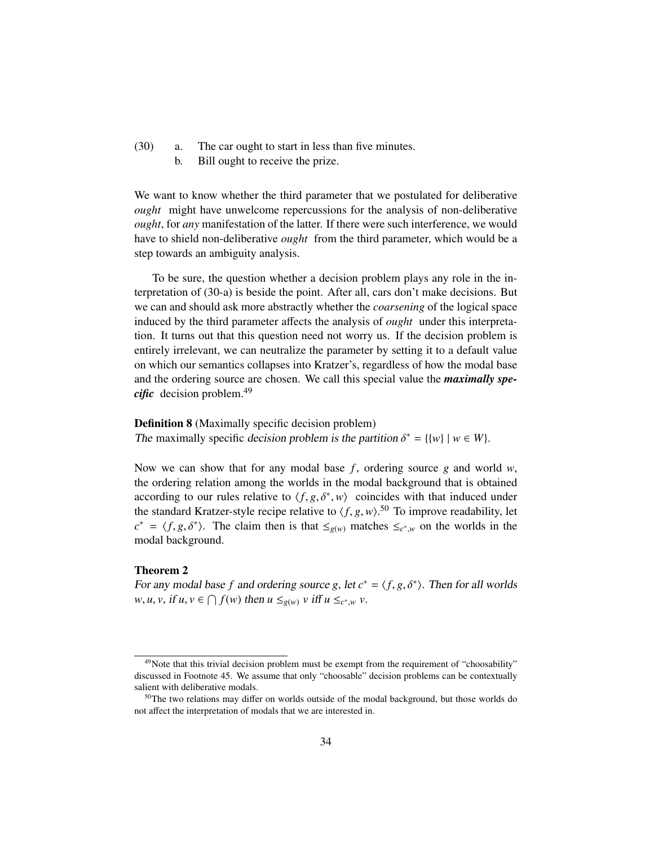- (30) a. The car ought to start in less than five minutes.
	- b. Bill ought to receive the prize.

We want to know whether the third parameter that we postulated for deliberative *ought* might have unwelcome repercussions for the analysis of non-deliberative *ought*, for *any* manifestation of the latter. If there were such interference, we would have to shield non-deliberative *ought* from the third parameter, which would be a step towards an ambiguity analysis.

To be sure, the question whether a decision problem plays any role in the interpretation of (30-a) is beside the point. After all, cars don't make decisions. But we can and should ask more abstractly whether the *coarsening* of the logical space induced by the third parameter affects the analysis of *ought* under this interpretation. It turns out that this question need not worry us. If the decision problem is entirely irrelevant, we can neutralize the parameter by setting it to a default value on which our semantics collapses into Kratzer's, regardless of how the modal base and the ordering source are chosen. We call this special value the *maximally specific* decision problem.<sup>49</sup>

Definition 8 (Maximally specific decision problem) The maximally specific decision problem is the partition  $\delta^* = \{ \{w\} \mid w \in W \}$ .

Now we can show that for any modal base f, ordering source g and world *w*, the ordering relation among the worlds in the modal background that is obtained according to our rules relative to  $\langle f, g, \delta^*, w \rangle$  coincides with that induced under<br>the standard Kratzer style recipe relative to  $\langle f, g, w \rangle$ <sup>50</sup> To improve readability let the standard Kratzer-style recipe relative to  $\langle f, g, w \rangle$ .<sup>50</sup> To improve readability, let  $e^* = \langle f, g, \delta^* \rangle$ . The claim than is that  $\leq \epsilon$ , matches  $\leq \epsilon$ , on the worlds in the  $c^* = \langle f, g, \delta^* \rangle$ . The claim then is that  $\leq_{g(w)}$  matches  $\leq_{c^*,w}$  on the worlds in the model background modal background.

## Theorem 2

For any modal base *f* and ordering source *g*, let  $c^* = \langle f, g, \delta^* \rangle$ . Then for all worlds<br>*w*, *u*, *y*, if *u*, *y*,  $\in$   $\bigcirc$  *f*(*w*) then  $u \le c$ , *y*, if  $u \le c$ , *y w*, *u*, *v*, if *u*, *v* ∈  $\bigcap$  *f*(*w*) then *u* ≤<sub>*g*(*w*)</sub> *v* iff *u* ≤*c*<sup>∗</sup>,*w v*.

<sup>&</sup>lt;sup>49</sup>Note that this trivial decision problem must be exempt from the requirement of "choosability" discussed in Footnote 45. We assume that only "choosable" decision problems can be contextually salient with deliberative modals.

<sup>&</sup>lt;sup>50</sup>The two relations may differ on worlds outside of the modal background, but those worlds do not affect the interpretation of modals that we are interested in.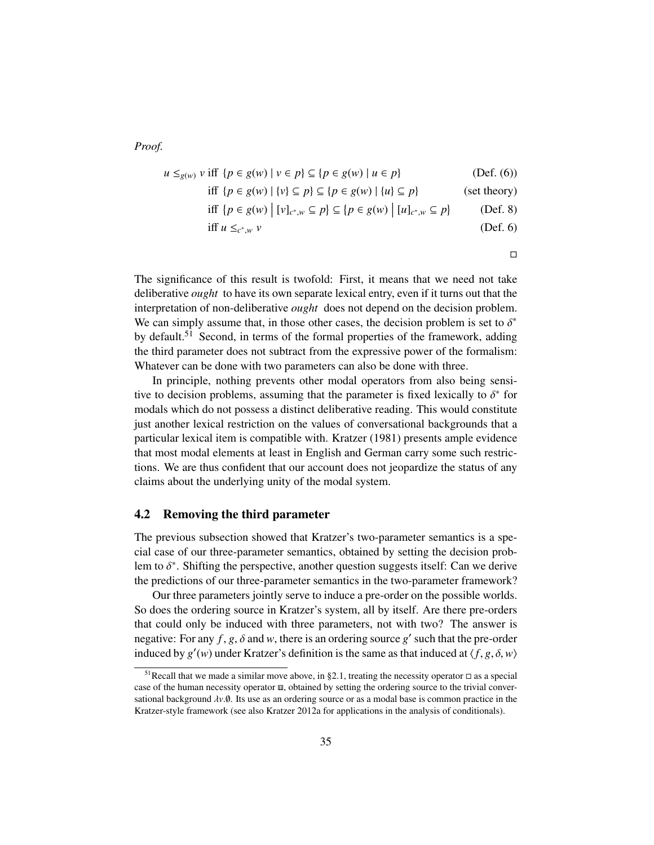*Proof.*

$$
u \le_{g(w)} v \text{ iff } \{p \in g(w) \mid v \in p\} \subseteq \{p \in g(w) \mid u \in p\} \tag{Def. (6)}
$$
  
iff 
$$
\{p \in g(w) \mid \{v\} \subseteq p\} \subseteq \{p \in g(w) \mid \{u\} \subseteq p\} \tag{set theory}
$$
  
iff 
$$
\{p \in g(w) \mid [v]_{c^*,w} \subseteq p\} \subseteq \{p \in g(w) \mid [u]_{c^*,w} \subseteq p\} \tag{Def. 8}
$$
  
iff 
$$
u \le_{c^*,w} v \tag{Def. 6}
$$

$$
\Box
$$

The significance of this result is twofold: First, it means that we need not take deliberative *ought* to have its own separate lexical entry, even if it turns out that the interpretation of non-deliberative *ought* does not depend on the decision problem. We can simply assume that, in those other cases, the decision problem is set to  $\delta^*$ <br>by default <sup>51</sup>, Second, in terms of the formal properties of the framework, adding by default.<sup>51</sup> Second, in terms of the formal properties of the framework, adding the third parameter does not subtract from the expressive power of the formalism: Whatever can be done with two parameters can also be done with three.

In principle, nothing prevents other modal operators from also being sensitive to decision problems, assuming that the parameter is fixed lexically to  $\delta^*$  for models which do not possess a distinct deliberative reading. This would constitute modals which do not possess a distinct deliberative reading. This would constitute just another lexical restriction on the values of conversational backgrounds that a particular lexical item is compatible with. Kratzer (1981) presents ample evidence that most modal elements at least in English and German carry some such restrictions. We are thus confident that our account does not jeopardize the status of any claims about the underlying unity of the modal system.

#### 4.2 Removing the third parameter

The previous subsection showed that Kratzer's two-parameter semantics is a special case of our three-parameter semantics, obtained by setting the decision problem to  $\delta^*$ . Shifting the perspective, another question suggests itself: Can we derive the predictions of our three-parameter semantics in the two-parameter framework?

Our three parameters jointly serve to induce a pre-order on the possible worlds. So does the ordering source in Kratzer's system, all by itself. Are there pre-orders that could only be induced with three parameters, not with two? The answer is negative: For any  $f$ ,  $g$ ,  $\delta$  and  $w$ , there is an ordering source  $g'$  such that the pre-order<br>induced by  $g'(w)$  under Kratzer's definition is the same as that induced at  $(f, g, \delta, w)$ induced by  $g'(w)$  under Kratzer's definition is the same as that induced at  $\langle f, g, \delta, w \rangle$ 

 $51$  Recall that we made a similar move above, in §2.1, treating the necessity operator  $\Box$  as a special case of the human necessity operator  $\mathbf{E}$ , obtained by setting the ordering source to the trivial conversational background λ*v*.∅. Its use as an ordering source or as a modal base is common practice in the Kratzer-style framework (see also Kratzer 2012a for applications in the analysis of conditionals).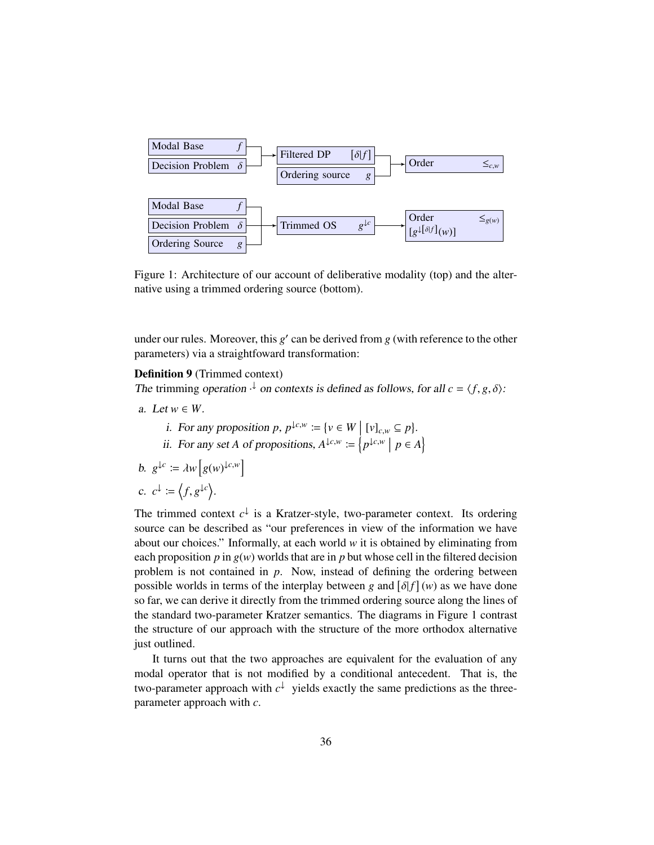

Figure 1: Architecture of our account of deliberative modality (top) and the alternative using a trimmed ordering source (bottom).

under our rules. Moreover, this  $g'$  can be derived from  $g$  (with reference to the other parameters) via a straightfoward transformation:

Definition 9 (Trimmed context)

The trimming operation  $\cdot^{\downarrow}$  on contexts is defined as follows, for all  $c = \langle f, g, \delta \rangle$ :

- a. Let  $w \in W$ .
	- *i*. For any proposition  $p, p^{\downarrow c,w} := \{v \in W \mid [v]_{c,w} \subseteq p\}.$
	- ii. For any set *A* of propositions,  $A^{\downarrow c,w} := \{p^{\downarrow c,w} \mid p \in A\}$

$$
b. \ g^{\downarrow c} := \lambda w \left[ g(w)^{\downarrow c, w} \right]
$$

$$
c. \ c^{\downarrow} := \left\langle f, g^{\downarrow c} \right\rangle.
$$

The trimmed context  $c^{\downarrow}$  is a Kratzer-style, two-parameter context. Its ordering source can be described as "our preferences in view of the information we have about our choices." Informally, at each world *w* it is obtained by eliminating from each proposition  $p$  in  $g(w)$  worlds that are in  $p$  but whose cell in the filtered decision problem is not contained in *p*. Now, instead of defining the ordering between possible worlds in terms of the interplay between *g* and  $[\delta(f](w)$  as we have done<br>so far, we can derive it directly from the trimmed ordering source along the lines of so far, we can derive it directly from the trimmed ordering source along the lines of the standard two-parameter Kratzer semantics. The diagrams in Figure 1 contrast the structure of our approach with the structure of the more orthodox alternative just outlined.

It turns out that the two approaches are equivalent for the evaluation of any modal operator that is not modified by a conditional antecedent. That is, the two-parameter approach with  $c^{\downarrow}$  yields exactly the same predictions as the threeparameter approach with *c*.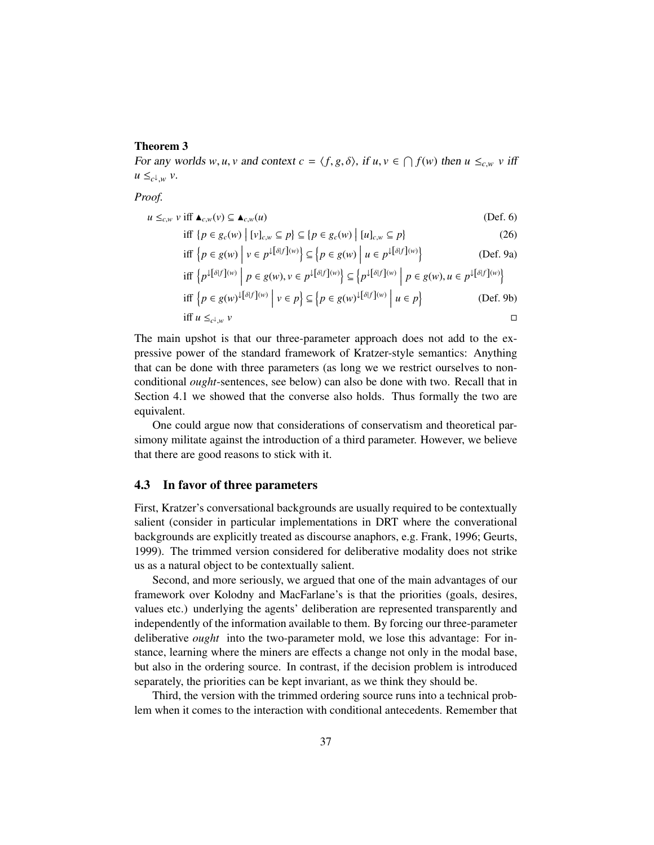#### Theorem 3

For any worlds *w*, *u*, *v* and context  $c = \langle f, g, \delta \rangle$ , if  $u, v \in \bigcap f(w)$  then  $u \leq_{c,w} v$  iff  $u \leq_{c,w} v$  $u \leq_{c^{\downarrow},w} v.$ 

*Proof.*

$$
u \leq_{c,w} v \text{ iff } \blacktriangle_{c,w}(v) \subseteq \blacktriangle_{c,w}(u) \tag{Def. 6}
$$

$$
\text{iff } \{p \in g_c(w) \mid [v]_{c,w} \subseteq p\} \subseteq \{p \in g_c(w) \mid [u]_{c,w} \subseteq p\} \tag{26}
$$
\n
$$
\text{iff } \{p \in g(w) \mid v \in p\}[\delta|f](w) \subseteq \{p \in g(w)\} \mid u \in p\}[\delta|f](w) \tag{26}
$$

$$
\text{iff } \left\{ p \in g(w) \mid v \in p^{\downarrow \left[ \delta \mid f \right](w)} \right\} \subseteq \left\{ p \in g(w) \mid u \in p^{\downarrow \left[ \delta \mid f \right](w)} \right\} \tag{Def. 9a}
$$

$$
\begin{aligned}\n\text{iff } \left\{ p^{\downarrow[\delta|f](w)} \; \middle| \; p \in g(w), v \in p^{\downarrow[\delta|f](w)} \right\} &\subseteq \left\{ p^{\downarrow[\delta|f](w)} \; \middle| \; p \in g(w), u \in p^{\downarrow[\delta|f](w)} \right\} \\
\text{iff } \left\{ p \in g(w)^{\downarrow[\delta|f](w)} \; \middle| \; v \in p \right\} &\subseteq \left\{ p \in g(w)^{\downarrow[\delta|f](w)} \; \middle| \; u \in p \right\} \\
\text{iff } u \leq_{c^{\downarrow},w} v\n\end{aligned} \tag{Def. 9b}
$$

The main upshot is that our three-parameter approach does not add to the expressive power of the standard framework of Kratzer-style semantics: Anything that can be done with three parameters (as long we we restrict ourselves to nonconditional *ought*-sentences, see below) can also be done with two. Recall that in Section 4.1 we showed that the converse also holds. Thus formally the two are equivalent.

One could argue now that considerations of conservatism and theoretical parsimony militate against the introduction of a third parameter. However, we believe that there are good reasons to stick with it.

### 4.3 In favor of three parameters

First, Kratzer's conversational backgrounds are usually required to be contextually salient (consider in particular implementations in DRT where the converational backgrounds are explicitly treated as discourse anaphors, e.g. Frank, 1996; Geurts, 1999). The trimmed version considered for deliberative modality does not strike us as a natural object to be contextually salient.

Second, and more seriously, we argued that one of the main advantages of our framework over Kolodny and MacFarlane's is that the priorities (goals, desires, values etc.) underlying the agents' deliberation are represented transparently and independently of the information available to them. By forcing our three-parameter deliberative *ought* into the two-parameter mold, we lose this advantage: For instance, learning where the miners are effects a change not only in the modal base, but also in the ordering source. In contrast, if the decision problem is introduced separately, the priorities can be kept invariant, as we think they should be.

Third, the version with the trimmed ordering source runs into a technical problem when it comes to the interaction with conditional antecedents. Remember that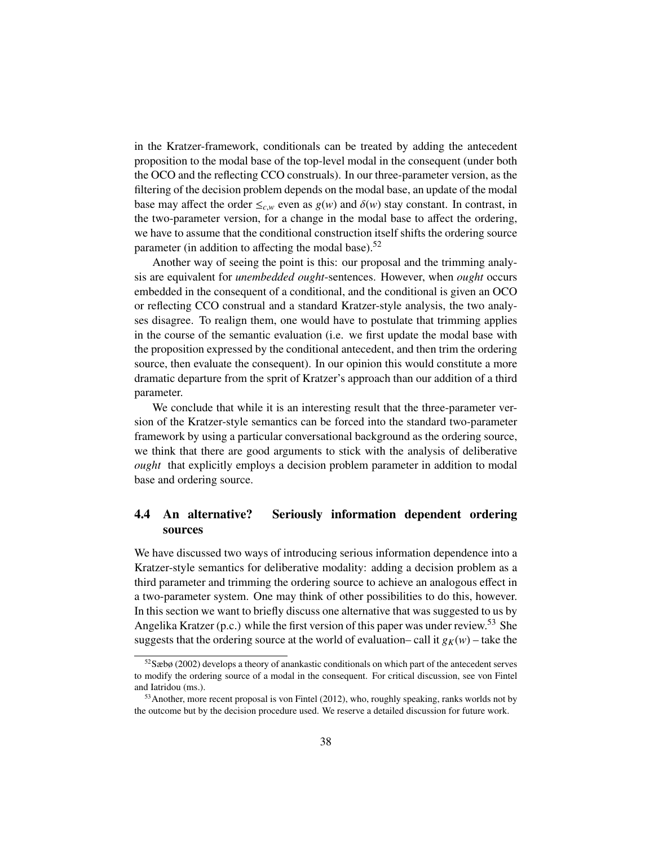in the Kratzer-framework, conditionals can be treated by adding the antecedent proposition to the modal base of the top-level modal in the consequent (under both the OCO and the reflecting CCO construals). In our three-parameter version, as the filtering of the decision problem depends on the modal base, an update of the modal base may affect the order  $\leq_{c,w}$  even as  $g(w)$  and  $\delta(w)$  stay constant. In contrast, in the two-parameter version, for a change in the modal base to affect the ordering, we have to assume that the conditional construction itself shifts the ordering source parameter (in addition to affecting the modal base).<sup>52</sup>

Another way of seeing the point is this: our proposal and the trimming analysis are equivalent for *unembedded ought*-sentences. However, when *ought* occurs embedded in the consequent of a conditional, and the conditional is given an OCO or reflecting CCO construal and a standard Kratzer-style analysis, the two analyses disagree. To realign them, one would have to postulate that trimming applies in the course of the semantic evaluation (i.e. we first update the modal base with the proposition expressed by the conditional antecedent, and then trim the ordering source, then evaluate the consequent). In our opinion this would constitute a more dramatic departure from the sprit of Kratzer's approach than our addition of a third parameter.

We conclude that while it is an interesting result that the three-parameter version of the Kratzer-style semantics can be forced into the standard two-parameter framework by using a particular conversational background as the ordering source, we think that there are good arguments to stick with the analysis of deliberative *ought* that explicitly employs a decision problem parameter in addition to modal base and ordering source.

## 4.4 An alternative? Seriously information dependent ordering sources

We have discussed two ways of introducing serious information dependence into a Kratzer-style semantics for deliberative modality: adding a decision problem as a third parameter and trimming the ordering source to achieve an analogous effect in a two-parameter system. One may think of other possibilities to do this, however. In this section we want to briefly discuss one alternative that was suggested to us by Angelika Kratzer (p.c.) while the first version of this paper was under review.<sup>53</sup> She suggests that the ordering source at the world of evaluation– call it  $g_K(w)$  – take the

 $52$ Sæbø (2002) develops a theory of anankastic conditionals on which part of the antecedent serves to modify the ordering source of a modal in the consequent. For critical discussion, see von Fintel and Iatridou (ms.).

<sup>53</sup> Another, more recent proposal is von Fintel (2012), who, roughly speaking, ranks worlds not by the outcome but by the decision procedure used. We reserve a detailed discussion for future work.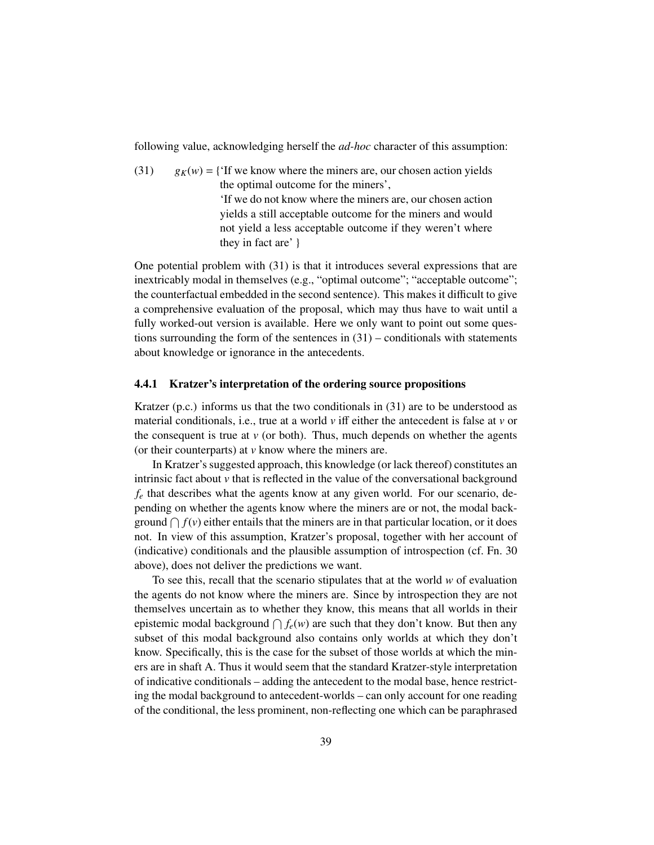following value, acknowledging herself the *ad-hoc* character of this assumption:

(31)  $g_K(w) = \{`If we know where the minors are, our chosen action yields$ the optimal outcome for the miners', 'If we do not know where the miners are, our chosen action yields a still acceptable outcome for the miners and would not yield a less acceptable outcome if they weren't where they in fact are' }

One potential problem with (31) is that it introduces several expressions that are inextricably modal in themselves (e.g., "optimal outcome"; "acceptable outcome"; the counterfactual embedded in the second sentence). This makes it difficult to give a comprehensive evaluation of the proposal, which may thus have to wait until a fully worked-out version is available. Here we only want to point out some questions surrounding the form of the sentences in  $(31)$  – conditionals with statements about knowledge or ignorance in the antecedents.

#### 4.4.1 Kratzer's interpretation of the ordering source propositions

Kratzer (p.c.) informs us that the two conditionals in  $(31)$  are to be understood as material conditionals, i.e., true at a world *v* iff either the antecedent is false at *v* or the consequent is true at  $\nu$  (or both). Thus, much depends on whether the agents (or their counterparts) at *v* know where the miners are.

In Kratzer's suggested approach, this knowledge (or lack thereof) constitutes an intrinsic fact about  $\nu$  that is reflected in the value of the conversational background *f<sup>e</sup>* that describes what the agents know at any given world. For our scenario, depending on whether the agents know where the miners are or not, the modal background  $\bigcap f(v)$  either entails that the miners are in that particular location, or it does not. In view of this assumption, Kratzer's proposal, together with her account of (indicative) conditionals and the plausible assumption of introspection (cf. Fn. 30 above), does not deliver the predictions we want.

To see this, recall that the scenario stipulates that at the world *w* of evaluation the agents do not know where the miners are. Since by introspection they are not themselves uncertain as to whether they know, this means that all worlds in their epistemic modal background  $\bigcap f_e(w)$  are such that they don't know. But then any subset of this modal background also contains only worlds at which they don't know. Specifically, this is the case for the subset of those worlds at which the miners are in shaft A. Thus it would seem that the standard Kratzer-style interpretation of indicative conditionals – adding the antecedent to the modal base, hence restricting the modal background to antecedent-worlds – can only account for one reading of the conditional, the less prominent, non-reflecting one which can be paraphrased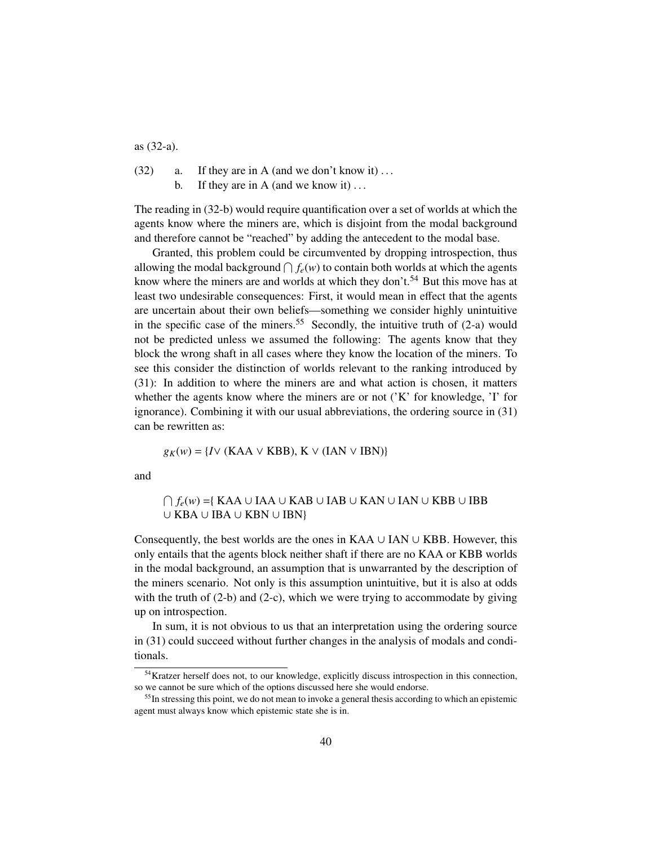as (32-a).

- (32) a. If they are in A (and we don't know it) ...
	- b. If they are in A (and we know it)  $\dots$

The reading in (32-b) would require quantification over a set of worlds at which the agents know where the miners are, which is disjoint from the modal background and therefore cannot be "reached" by adding the antecedent to the modal base.

Granted, this problem could be circumvented by dropping introspection, thus allowing the modal background  $\bigcap f_e(w)$  to contain both worlds at which the agents know where the miners are and worlds at which they don't.<sup>54</sup> But this move has at least two undesirable consequences: First, it would mean in effect that the agents are uncertain about their own beliefs—something we consider highly unintuitive in the specific case of the miners.<sup>55</sup> Secondly, the intuitive truth of  $(2-a)$  would not be predicted unless we assumed the following: The agents know that they block the wrong shaft in all cases where they know the location of the miners. To see this consider the distinction of worlds relevant to the ranking introduced by (31): In addition to where the miners are and what action is chosen, it matters whether the agents know where the miners are or not  $(X<sup>i</sup>)$  for knowledge,  $Y<sup>i</sup>$  for ignorance). Combining it with our usual abbreviations, the ordering source in (31) can be rewritten as:

 $g_K(w) = \{I \vee (KAA \vee KBB), K \vee (IAN \vee IBN)\}\$ 

and

## T *fe*(*w*) ={ KAA ∪ IAA ∪ KAB ∪ IAB ∪ KAN ∪ IAN ∪ KBB ∪ IBB ∪ KBA ∪ IBA ∪ KBN ∪ IBN}

Consequently, the best worlds are the ones in KAA ∪ IAN ∪ KBB. However, this only entails that the agents block neither shaft if there are no KAA or KBB worlds in the modal background, an assumption that is unwarranted by the description of the miners scenario. Not only is this assumption unintuitive, but it is also at odds with the truth of (2-b) and (2-c), which we were trying to accommodate by giving up on introspection.

In sum, it is not obvious to us that an interpretation using the ordering source in (31) could succeed without further changes in the analysis of modals and conditionals.

<sup>&</sup>lt;sup>54</sup>Kratzer herself does not, to our knowledge, explicitly discuss introspection in this connection, so we cannot be sure which of the options discussed here she would endorse.

<sup>&</sup>lt;sup>55</sup>In stressing this point, we do not mean to invoke a general thesis according to which an epistemic agent must always know which epistemic state she is in.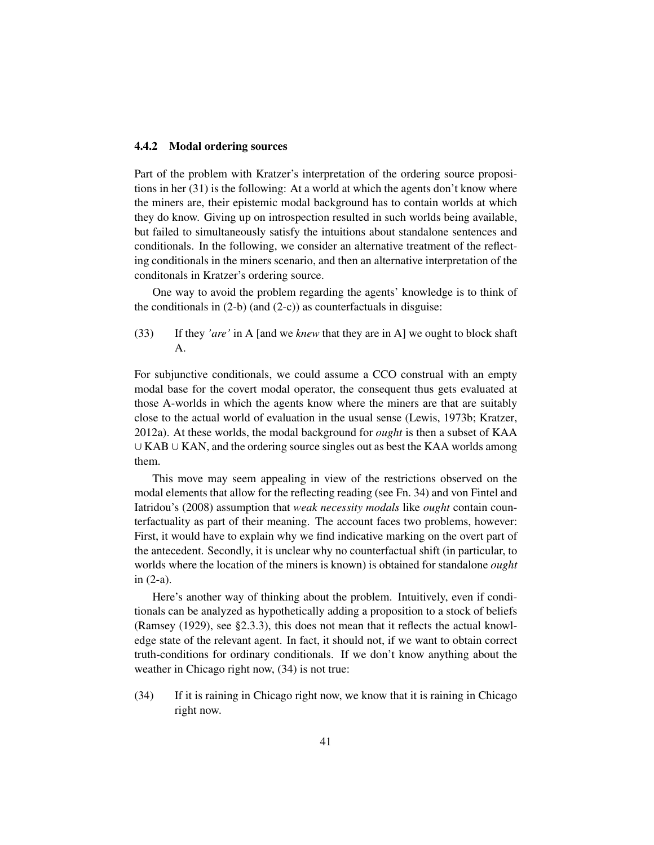### 4.4.2 Modal ordering sources

Part of the problem with Kratzer's interpretation of the ordering source propositions in her (31) is the following: At a world at which the agents don't know where the miners are, their epistemic modal background has to contain worlds at which they do know. Giving up on introspection resulted in such worlds being available, but failed to simultaneously satisfy the intuitions about standalone sentences and conditionals. In the following, we consider an alternative treatment of the reflecting conditionals in the miners scenario, and then an alternative interpretation of the conditonals in Kratzer's ordering source.

One way to avoid the problem regarding the agents' knowledge is to think of the conditionals in  $(2-b)$  (and  $(2-c)$ ) as counterfactuals in disguise:

(33) If they *'are'* in A [and we *knew* that they are in A] we ought to block shaft A.

For subjunctive conditionals, we could assume a CCO construal with an empty modal base for the covert modal operator, the consequent thus gets evaluated at those A-worlds in which the agents know where the miners are that are suitably close to the actual world of evaluation in the usual sense (Lewis, 1973b; Kratzer, 2012a). At these worlds, the modal background for *ought* is then a subset of KAA ∪ KAB ∪ KAN, and the ordering source singles out as best the KAA worlds among them.

This move may seem appealing in view of the restrictions observed on the modal elements that allow for the reflecting reading (see Fn. 34) and von Fintel and Iatridou's (2008) assumption that *weak necessity modals* like *ought* contain counterfactuality as part of their meaning. The account faces two problems, however: First, it would have to explain why we find indicative marking on the overt part of the antecedent. Secondly, it is unclear why no counterfactual shift (in particular, to worlds where the location of the miners is known) is obtained for standalone *ought* in (2-a).

Here's another way of thinking about the problem. Intuitively, even if conditionals can be analyzed as hypothetically adding a proposition to a stock of beliefs (Ramsey (1929), see §2.3.3), this does not mean that it reflects the actual knowledge state of the relevant agent. In fact, it should not, if we want to obtain correct truth-conditions for ordinary conditionals. If we don't know anything about the weather in Chicago right now, (34) is not true:

(34) If it is raining in Chicago right now, we know that it is raining in Chicago right now.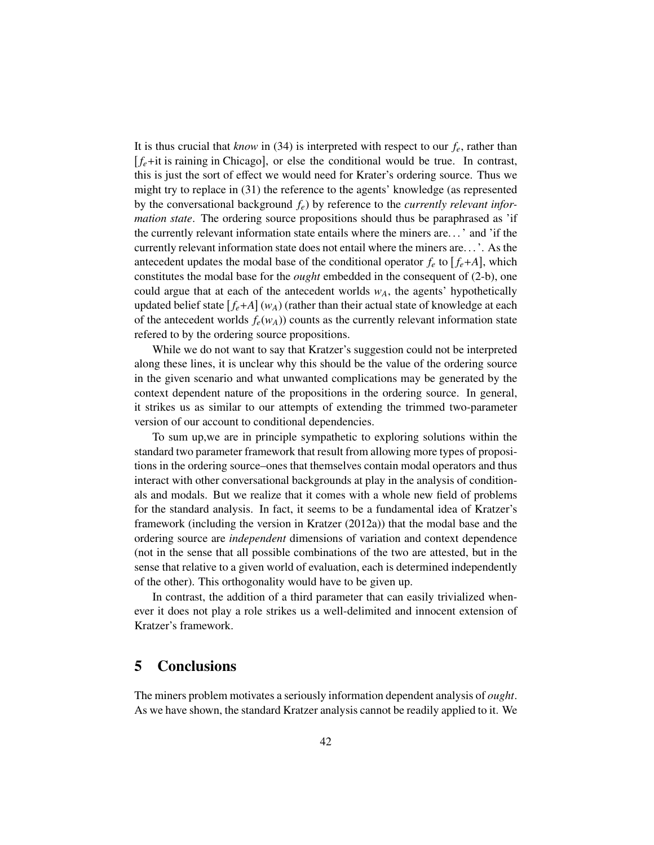It is thus crucial that *know* in (34) is interpreted with respect to our *fe*, rather than  $[f_e + it is raining in Chicago],$  or else the conditional would be true. In contrast, this is just the sort of effect we would need for Krater's ordering source. Thus we might try to replace in (31) the reference to the agents' knowledge (as represented by the conversational background *fe*) by reference to the *currently relevant information state*. The ordering source propositions should thus be paraphrased as 'if the currently relevant information state entails where the miners are. . . ' and 'if the currently relevant information state does not entail where the miners are. . . '. As the antecedent updates the modal base of the conditional operator  $f_e$  to  $[f_e+A]$ , which constitutes the modal base for the *ought* embedded in the consequent of (2-b), one could argue that at each of the antecedent worlds  $w_A$ , the agents' hypothetically updated belief state  $[f_e+A](w_A)$  (rather than their actual state of knowledge at each of the antecedent worlds  $f_e(w_A)$  counts as the currently relevant information state refered to by the ordering source propositions.

While we do not want to say that Kratzer's suggestion could not be interpreted along these lines, it is unclear why this should be the value of the ordering source in the given scenario and what unwanted complications may be generated by the context dependent nature of the propositions in the ordering source. In general, it strikes us as similar to our attempts of extending the trimmed two-parameter version of our account to conditional dependencies.

To sum up,we are in principle sympathetic to exploring solutions within the standard two parameter framework that result from allowing more types of propositions in the ordering source–ones that themselves contain modal operators and thus interact with other conversational backgrounds at play in the analysis of conditionals and modals. But we realize that it comes with a whole new field of problems for the standard analysis. In fact, it seems to be a fundamental idea of Kratzer's framework (including the version in Kratzer (2012a)) that the modal base and the ordering source are *independent* dimensions of variation and context dependence (not in the sense that all possible combinations of the two are attested, but in the sense that relative to a given world of evaluation, each is determined independently of the other). This orthogonality would have to be given up.

In contrast, the addition of a third parameter that can easily trivialized whenever it does not play a role strikes us a well-delimited and innocent extension of Kratzer's framework.

## 5 Conclusions

The miners problem motivates a seriously information dependent analysis of *ought*. As we have shown, the standard Kratzer analysis cannot be readily applied to it. We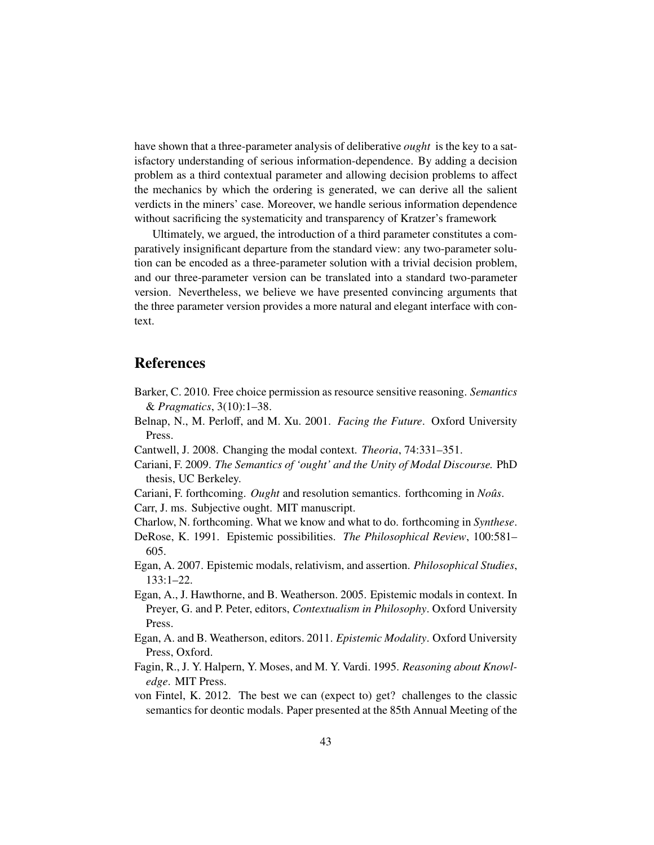have shown that a three-parameter analysis of deliberative *ought* is the key to a satisfactory understanding of serious information-dependence. By adding a decision problem as a third contextual parameter and allowing decision problems to affect the mechanics by which the ordering is generated, we can derive all the salient verdicts in the miners' case. Moreover, we handle serious information dependence without sacrificing the systematicity and transparency of Kratzer's framework

Ultimately, we argued, the introduction of a third parameter constitutes a comparatively insignificant departure from the standard view: any two-parameter solution can be encoded as a three-parameter solution with a trivial decision problem, and our three-parameter version can be translated into a standard two-parameter version. Nevertheless, we believe we have presented convincing arguments that the three parameter version provides a more natural and elegant interface with context.

# References

- Barker, C. 2010. Free choice permission as resource sensitive reasoning. *Semantics* & *Pragmatics*, 3(10):1–38.
- Belnap, N., M. Perloff, and M. Xu. 2001. *Facing the Future*. Oxford University Press.
- Cantwell, J. 2008. Changing the modal context. *Theoria*, 74:331–351.
- Cariani, F. 2009. *The Semantics of 'ought' and the Unity of Modal Discourse.* PhD thesis, UC Berkeley.
- Cariani, F. forthcoming. *Ought* and resolution semantics. forthcoming in *Noûs*. Carr, J. ms. Subjective ought. MIT manuscript.
- Charlow, N. forthcoming. What we know and what to do. forthcoming in *Synthese*.
- DeRose, K. 1991. Epistemic possibilities. *The Philosophical Review*, 100:581– 605.
- Egan, A. 2007. Epistemic modals, relativism, and assertion. *Philosophical Studies*, 133:1–22.
- Egan, A., J. Hawthorne, and B. Weatherson. 2005. Epistemic modals in context. In Preyer, G. and P. Peter, editors, *Contextualism in Philosophy*. Oxford University Press.
- Egan, A. and B. Weatherson, editors. 2011. *Epistemic Modality*. Oxford University Press, Oxford.
- Fagin, R., J. Y. Halpern, Y. Moses, and M. Y. Vardi. 1995. *Reasoning about Knowledge*. MIT Press.
- von Fintel, K. 2012. The best we can (expect to) get? challenges to the classic semantics for deontic modals. Paper presented at the 85th Annual Meeting of the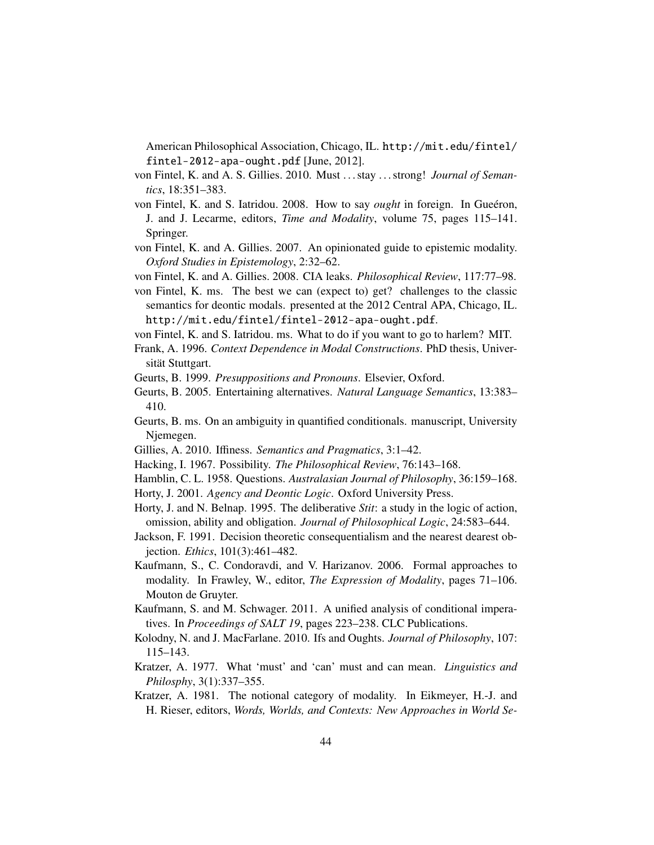American Philosophical Association, Chicago, IL. http://mit.edu/fintel/ fintel-2012-apa-ought.pdf [June, 2012].

- von Fintel, K. and A. S. Gillies. 2010. Must . . . stay . . . strong! *Journal of Semantics*, 18:351–383.
- von Fintel, K. and S. Iatridou. 2008. How to say *ought* in foreign. In Gueéron, J. and J. Lecarme, editors, *Time and Modality*, volume 75, pages 115–141. Springer.
- von Fintel, K. and A. Gillies. 2007. An opinionated guide to epistemic modality. *Oxford Studies in Epistemology*, 2:32–62.
- von Fintel, K. and A. Gillies. 2008. CIA leaks. *Philosophical Review*, 117:77–98.
- von Fintel, K. ms. The best we can (expect to) get? challenges to the classic semantics for deontic modals. presented at the 2012 Central APA, Chicago, IL. http://mit.edu/fintel/fintel-2012-apa-ought.pdf.
- von Fintel, K. and S. Iatridou. ms. What to do if you want to go to harlem? MIT.
- Frank, A. 1996. *Context Dependence in Modal Constructions*. PhD thesis, Universität Stuttgart.
- Geurts, B. 1999. *Presuppositions and Pronouns*. Elsevier, Oxford.
- Geurts, B. 2005. Entertaining alternatives. *Natural Language Semantics*, 13:383– 410.
- Geurts, B. ms. On an ambiguity in quantified conditionals. manuscript, University Njemegen.
- Gillies, A. 2010. Iffiness. *Semantics and Pragmatics*, 3:1–42.
- Hacking, I. 1967. Possibility. *The Philosophical Review*, 76:143–168.
- Hamblin, C. L. 1958. Questions. *Australasian Journal of Philosophy*, 36:159–168.
- Horty, J. 2001. *Agency and Deontic Logic*. Oxford University Press.
- Horty, J. and N. Belnap. 1995. The deliberative *Stit*: a study in the logic of action, omission, ability and obligation. *Journal of Philosophical Logic*, 24:583–644.
- Jackson, F. 1991. Decision theoretic consequentialism and the nearest dearest objection. *Ethics*, 101(3):461–482.
- Kaufmann, S., C. Condoravdi, and V. Harizanov. 2006. Formal approaches to modality. In Frawley, W., editor, *The Expression of Modality*, pages 71–106. Mouton de Gruyter.
- Kaufmann, S. and M. Schwager. 2011. A unified analysis of conditional imperatives. In *Proceedings of SALT 19*, pages 223–238. CLC Publications.
- Kolodny, N. and J. MacFarlane. 2010. Ifs and Oughts. *Journal of Philosophy*, 107: 115–143.
- Kratzer, A. 1977. What 'must' and 'can' must and can mean. *Linguistics and Philosphy*, 3(1):337–355.
- Kratzer, A. 1981. The notional category of modality. In Eikmeyer, H.-J. and H. Rieser, editors, *Words, Worlds, and Contexts: New Approaches in World Se-*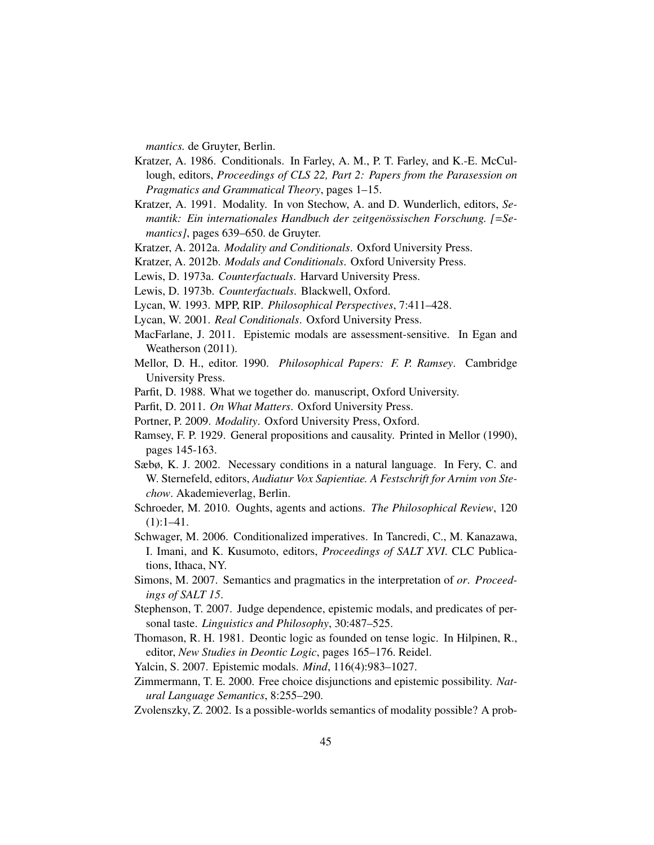*mantics.* de Gruyter, Berlin.

- Kratzer, A. 1986. Conditionals. In Farley, A. M., P. T. Farley, and K.-E. McCullough, editors, *Proceedings of CLS 22, Part 2: Papers from the Parasession on Pragmatics and Grammatical Theory*, pages 1–15.
- Kratzer, A. 1991. Modality. In von Stechow, A. and D. Wunderlich, editors, *Semantik: Ein internationales Handbuch der zeitgenössischen Forschung. [=Semantics]*, pages 639–650. de Gruyter.
- Kratzer, A. 2012a. *Modality and Conditionals*. Oxford University Press.
- Kratzer, A. 2012b. *Modals and Conditionals*. Oxford University Press.
- Lewis, D. 1973a. *Counterfactuals*. Harvard University Press.
- Lewis, D. 1973b. *Counterfactuals*. Blackwell, Oxford.
- Lycan, W. 1993. MPP, RIP. *Philosophical Perspectives*, 7:411–428.
- Lycan, W. 2001. *Real Conditionals*. Oxford University Press.
- MacFarlane, J. 2011. Epistemic modals are assessment-sensitive. In Egan and Weatherson (2011).
- Mellor, D. H., editor. 1990. *Philosophical Papers: F. P. Ramsey*. Cambridge University Press.
- Parfit, D. 1988. What we together do. manuscript, Oxford University.
- Parfit, D. 2011. *On What Matters*. Oxford University Press.
- Portner, P. 2009. *Modality*. Oxford University Press, Oxford.
- Ramsey, F. P. 1929. General propositions and causality. Printed in Mellor (1990), pages 145-163.
- Sæbø, K. J. 2002. Necessary conditions in a natural language. In Fery, C. and W. Sternefeld, editors, *Audiatur Vox Sapientiae. A Festschrift for Arnim von Stechow*. Akademieverlag, Berlin.
- Schroeder, M. 2010. Oughts, agents and actions. *The Philosophical Review*, 120  $(1):1-41.$
- Schwager, M. 2006. Conditionalized imperatives. In Tancredi, C., M. Kanazawa, I. Imani, and K. Kusumoto, editors, *Proceedings of SALT XVI*. CLC Publications, Ithaca, NY.
- Simons, M. 2007. Semantics and pragmatics in the interpretation of *or*. *Proceedings of SALT 15*.
- Stephenson, T. 2007. Judge dependence, epistemic modals, and predicates of personal taste. *Linguistics and Philosophy*, 30:487–525.
- Thomason, R. H. 1981. Deontic logic as founded on tense logic. In Hilpinen, R., editor, *New Studies in Deontic Logic*, pages 165–176. Reidel.
- Yalcin, S. 2007. Epistemic modals. *Mind*, 116(4):983–1027.
- Zimmermann, T. E. 2000. Free choice disjunctions and epistemic possibility. *Natural Language Semantics*, 8:255–290.
- Zvolenszky, Z. 2002. Is a possible-worlds semantics of modality possible? A prob-